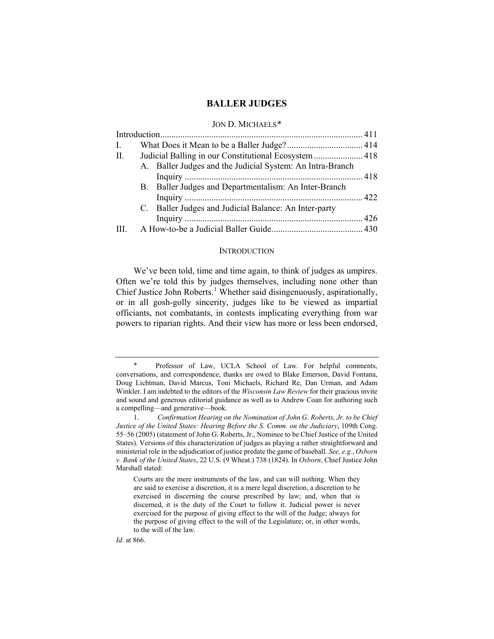# **BALLER JUDGES**

## JON D. MICHAELS[\\*](#page-0-0)

| I.  |                                                       |                                                           |  |
|-----|-------------------------------------------------------|-----------------------------------------------------------|--|
| П.  | Judicial Balling in our Constitutional Ecosystem  418 |                                                           |  |
|     |                                                       | A. Baller Judges and the Judicial System: An Intra-Branch |  |
|     |                                                       |                                                           |  |
|     |                                                       | B. Baller Judges and Departmentalism: An Inter-Branch     |  |
|     |                                                       |                                                           |  |
|     |                                                       | C. Baller Judges and Judicial Balance: An Inter-party     |  |
|     |                                                       |                                                           |  |
| III |                                                       |                                                           |  |
|     |                                                       |                                                           |  |

#### INTRODUCTION

We've been told, time and time again, to think of judges as umpires. Often we're told this by judges themselves, including none other than Chief Justice John Roberts. [1](#page-0-1) Whether said disingenuously, aspirationally, or in all gosh-golly sincerity, judges like to be viewed as impartial officiants, not combatants, in contests implicating everything from war powers to riparian rights. And their view has more or less been endorsed,

*Id.* at 866.

<span id="page-0-0"></span><sup>∗</sup> Professor of Law, UCLA School of Law. For helpful comments, conversations, and correspondence, thanks are owed to Blake Emerson, David Fontana, Doug Lichtman, David Marcus, Toni Michaels, Richard Re, Dan Urman, and Adam Winkler. I am indebted to the editors of the *Wisconsin Law Review* for their gracious invite and sound and generous editorial guidance as well as to Andrew Coan for authoring such a compelling—and generative—book.

<span id="page-0-1"></span><sup>1.</sup> *Confirmation Hearing on the Nomination of John G. Roberts, Jr. to be Chief Justice of the United States: Hearing Before the S. Comm. on the Judiciary*, 109th Cong. 55–56 (2005) (statement of John G. Roberts, Jr., Nominee to be Chief Justice of the United States). Versions of this characterization of judges as playing a rather straightforward and ministerial role in the adjudication of justice predate the game of baseball. *See, e.g.*, *Osborn v. Bank of the United States*, 22 U.S. (9 Wheat.) 738 (1824). In *Osborn*, Chief Justice John Marshall stated:

Courts are the mere instruments of the law, and can will nothing. When they are said to exercise a discretion, it is a mere legal discretion, a discretion to be exercised in discerning the course prescribed by law; and, when that is discerned, it is the duty of the Court to follow it. Judicial power is never exercised for the purpose of giving effect to the will of the Judge; always for the purpose of giving effect to the will of the Legislature; or, in other words, to the will of the law.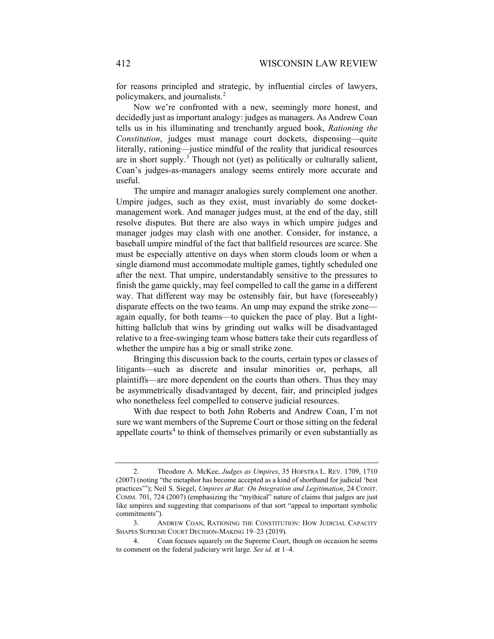<span id="page-1-3"></span>for reasons principled and strategic, by influential circles of lawyers, policymakers, and journalists. $<sup>2</sup>$  $<sup>2</sup>$  $<sup>2</sup>$ </sup>

Now we're confronted with a new, seemingly more honest, and decidedly just as important analogy: judges as managers. As Andrew Coan tells us in his illuminating and trenchantly argued book, *Rationing the Constitution*, judges must manage court dockets, dispensing—quite literally, rationing—justice mindful of the reality that juridical resources are in short supply.<sup>[3](#page-1-1)</sup> Though not (yet) as politically or culturally salient, Coan's judges-as-managers analogy seems entirely more accurate and useful.

The umpire and manager analogies surely complement one another. Umpire judges, such as they exist, must invariably do some docketmanagement work. And manager judges must, at the end of the day, still resolve disputes. But there are also ways in which umpire judges and manager judges may clash with one another. Consider, for instance, a baseball umpire mindful of the fact that ballfield resources are scarce. She must be especially attentive on days when storm clouds loom or when a single diamond must accommodate multiple games, tightly scheduled one after the next. That umpire, understandably sensitive to the pressures to finish the game quickly, may feel compelled to call the game in a different way. That different way may be ostensibly fair, but have (foreseeably) disparate effects on the two teams. An ump may expand the strike zone again equally, for both teams—to quicken the pace of play. But a lighthitting ballclub that wins by grinding out walks will be disadvantaged relative to a free-swinging team whose batters take their cuts regardless of whether the umpire has a big or small strike zone.

Bringing this discussion back to the courts, certain types or classes of litigants—such as discrete and insular minorities or, perhaps, all plaintiffs—are more dependent on the courts than others. Thus they may be asymmetrically disadvantaged by decent, fair, and principled judges who nonetheless feel compelled to conserve judicial resources.

With due respect to both John Roberts and Andrew Coan, I'm not sure we want members of the Supreme Court or those sitting on the federal appellate courts<sup>[4](#page-1-2)</sup> to think of themselves primarily or even substantially as

<span id="page-1-0"></span><sup>2.</sup> Theodore A. McKee, *Judges as Umpires*, 35 HOFSTRA L. REV. 1709, 1710 (2007) (noting "the metaphor has become accepted as a kind of shorthand for judicial 'best practices'"); Neil S. Siegel, *Umpires at Bat: On Integration and Legitimation*, 24 CONST. COMM. 701, 724 (2007) (emphasizing the "mythical" nature of claims that judges are just like umpires and suggesting that comparisons of that sort "appeal to important symbolic commitments").

<span id="page-1-1"></span><sup>3.</sup> ANDREW COAN, RATIONING THE CONSTITUTION: HOW JUDICIAL CAPACITY SHAPES SUPREME COURT DECISION-MAKING 19–23 (2019).

<span id="page-1-2"></span><sup>4.</sup> Coan focuses squarely on the Supreme Court, though on occasion he seems to comment on the federal judiciary writ large. *See id.* at 1–4.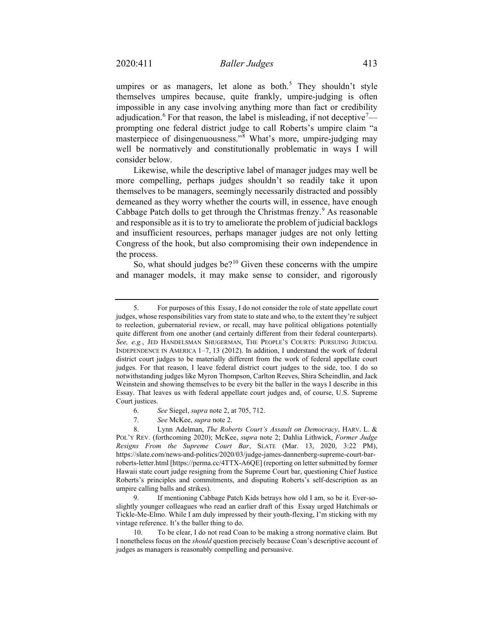umpires or as managers, let alone as both.<sup>[5](#page-2-0)</sup> They shouldn't style themselves umpires because, quite frankly, umpire-judging is often impossible in any case involving anything more than fact or credibility adjudication.<sup>[6](#page-2-1)</sup> For that reason, the label is misleading, if not deceptive<sup>[7](#page-2-2)</sup> prompting one federal district judge to call Roberts's umpire claim "a masterpiece of disingenuousness."<sup>[8](#page-2-3)</sup> What's more, umpire-judging may well be normatively and constitutionally problematic in ways I will consider below.

Likewise, while the descriptive label of manager judges may well be more compelling, perhaps judges shouldn't so readily take it upon themselves to be managers, seemingly necessarily distracted and possibly demeaned as they worry whether the courts will, in essence, have enough Cabbage Patch dolls to get through the Christmas frenzy. $9$  As reasonable and responsible as it is to try to ameliorate the problem of judicial backlogs and insufficient resources, perhaps manager judges are not only letting Congress of the hook, but also compromising their own independence in the process.

So, what should judges be?<sup>[10](#page-2-5)</sup> Given these concerns with the umpire and manager models, it may make sense to consider, and rigorously

<span id="page-2-0"></span><sup>5.</sup> For purposes of this Essay, I do not consider the role of state appellate court judges, whose responsibilities vary from state to state and who, to the extent they're subject to reelection, gubernatorial review, or recall, may have political obligations potentially quite different from one another (and certainly different from their federal counterparts). *See, e.g.*, JED HANDELSMAN SHUGERMAN, THE PEOPLE'S COURTS: PURSUING JUDICIAL INDEPENDENCE IN AMERICA 1–7, 13 (2012). In addition, I understand the work of federal district court judges to be materially different from the work of federal appellate court judges. For that reason, I leave federal district court judges to the side, too. I do so notwithstanding judges like Myron Thompson, Carlton Reeves, Shira Scheindlin, and Jack Weinstein and showing themselves to be every bit the baller in the ways I describe in this Essay. That leaves us with federal appellate court judges and, of course, U.S. Supreme Court justices.

<sup>6.</sup> *See* Siegel, *supra* not[e 2,](#page-1-3) at 705, 712.

<sup>7.</sup> *See* McKee, *supra* not[e 2.](#page-1-3)

<span id="page-2-3"></span><span id="page-2-2"></span><span id="page-2-1"></span><sup>8.</sup> Lynn Adelman, *The Roberts Court's Assault on Democracy*, HARV. L. & POL'Y REV. (forthcoming 2020); McKee, *supra* note [2;](#page-1-3) Dahlia Lithwick, *Former Judge Resigns From the Supreme Court Bar*, SLATE (Mar. 13, 2020, 3:22 PM), https://slate.com/news-and-politics/2020/03/judge-james-dannenberg-supreme-court-barroberts-letter.html [https://perma.cc/4TTX-A6QE] (reporting on letter submitted by former Hawaii state court judge resigning from the Supreme Court bar, questioning Chief Justice Roberts's principles and commitments, and disputing Roberts's self-description as an umpire calling balls and strikes).

<span id="page-2-4"></span><sup>9.</sup> If mentioning Cabbage Patch Kids betrays how old I am, so be it. Ever-soslightly younger colleagues who read an earlier draft of this Essay urged Hatchimals or Tickle-Me-Elmo. While I am duly impressed by their youth-flexing, I'm sticking with my vintage reference. It's the baller thing to do.

<span id="page-2-5"></span><sup>10.</sup> To be clear, I do not read Coan to be making a strong normative claim. But I nonetheless focus on the *should* question precisely because Coan's descriptive account of judges as managers is reasonably compelling and persuasive.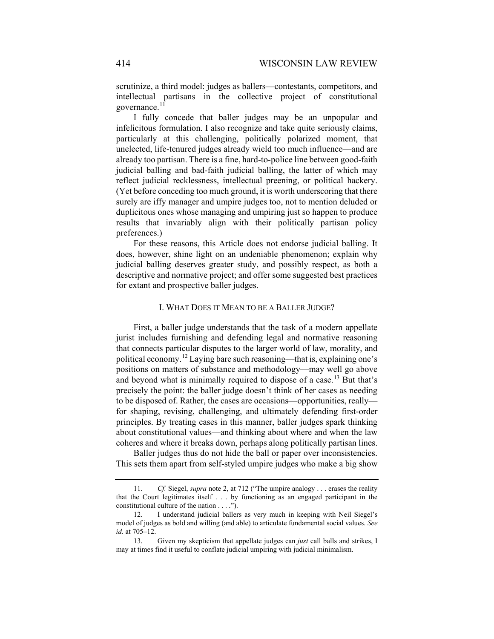scrutinize, a third model: judges as ballers—contestants, competitors, and intellectual partisans in the collective project of constitutional governance.<sup>[11](#page-3-0)</sup>

I fully concede that baller judges may be an unpopular and infelicitous formulation. I also recognize and take quite seriously claims, particularly at this challenging, politically polarized moment, that unelected, life-tenured judges already wield too much influence—and are already too partisan. There is a fine, hard-to-police line between good-faith judicial balling and bad-faith judicial balling, the latter of which may reflect judicial recklessness, intellectual preening, or political hackery. (Yet before conceding too much ground, it is worth underscoring that there surely are iffy manager and umpire judges too, not to mention deluded or duplicitous ones whose managing and umpiring just so happen to produce results that invariably align with their politically partisan policy preferences.)

For these reasons, this Article does not endorse judicial balling. It does, however, shine light on an undeniable phenomenon; explain why judicial balling deserves greater study, and possibly respect, as both a descriptive and normative project; and offer some suggested best practices for extant and prospective baller judges.

#### I. WHAT DOES IT MEAN TO BE A BALLER JUDGE?

First, a baller judge understands that the task of a modern appellate jurist includes furnishing and defending legal and normative reasoning that connects particular disputes to the larger world of law, morality, and political economy.<sup>[12](#page-3-1)</sup> Laying bare such reasoning—that is, explaining one's positions on matters of substance and methodology—may well go above and beyond what is minimally required to dispose of a case.<sup>[13](#page-3-2)</sup> But that's precisely the point: the baller judge doesn't think of her cases as needing to be disposed of. Rather, the cases are occasions—opportunities, really for shaping, revising, challenging, and ultimately defending first-order principles. By treating cases in this manner, baller judges spark thinking about constitutional values—and thinking about where and when the law coheres and where it breaks down, perhaps along politically partisan lines.

Baller judges thus do not hide the ball or paper over inconsistencies. This sets them apart from self-styled umpire judges who make a big show

<span id="page-3-0"></span><sup>11.</sup> *Cf.* Siegel, *supra* not[e 2,](#page-1-3) at 712 ("The umpire analogy . . . erases the reality that the Court legitimates itself . . . by functioning as an engaged participant in the constitutional culture of the nation . . . .").

<span id="page-3-1"></span><sup>12.</sup> I understand judicial ballers as very much in keeping with Neil Siegel's model of judges as bold and willing (and able) to articulate fundamental social values. *See id.* at 705–12.

<span id="page-3-2"></span><sup>13.</sup> Given my skepticism that appellate judges can *just* call balls and strikes, I may at times find it useful to conflate judicial umpiring with judicial minimalism.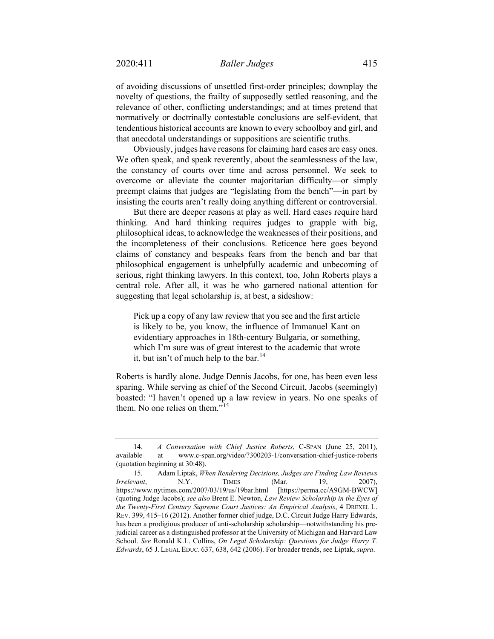of avoiding discussions of unsettled first-order principles; downplay the novelty of questions, the frailty of supposedly settled reasoning, and the relevance of other, conflicting understandings; and at times pretend that normatively or doctrinally contestable conclusions are self-evident, that tendentious historical accounts are known to every schoolboy and girl, and that anecdotal understandings or suppositions are scientific truths.

Obviously, judges have reasons for claiming hard cases are easy ones. We often speak, and speak reverently, about the seamlessness of the law, the constancy of courts over time and across personnel. We seek to overcome or alleviate the counter majoritarian difficulty—or simply preempt claims that judges are "legislating from the bench"—in part by insisting the courts aren't really doing anything different or controversial.

But there are deeper reasons at play as well. Hard cases require hard thinking. And hard thinking requires judges to grapple with big, philosophical ideas, to acknowledge the weaknesses of their positions, and the incompleteness of their conclusions. Reticence here goes beyond claims of constancy and bespeaks fears from the bench and bar that philosophical engagement is unhelpfully academic and unbecoming of serious, right thinking lawyers. In this context, too, John Roberts plays a central role. After all, it was he who garnered national attention for suggesting that legal scholarship is, at best, a sideshow:

<span id="page-4-2"></span>Pick up a copy of any law review that you see and the first article is likely to be, you know, the influence of Immanuel Kant on evidentiary approaches in 18th-century Bulgaria, or something, which I'm sure was of great interest to the academic that wrote it, but isn't of much help to the bar.<sup>[14](#page-4-0)</sup>

Roberts is hardly alone. Judge Dennis Jacobs, for one, has been even less sparing. While serving as chief of the Second Circuit, Jacobs (seemingly) boasted: "I haven't opened up a law review in years. No one speaks of them. No one relies on them."[15](#page-4-1)

<span id="page-4-0"></span><sup>14.</sup> *A Conversation with Chief Justice Roberts*, C-SPAN (June 25, 2011), available at www.c-span.org/video/?300203-1/conversation-chief-justice-roberts (quotation beginning at 30:48).

<span id="page-4-1"></span><sup>15.</sup> Adam Liptak, *When Rendering Decisions, Judges are Finding Law Reviews Irrelevant*, N.Y. TIMES (Mar. 19, 2007), https://www.nytimes.com/2007/03/19/us/19bar.html [https://perma.cc/A9GM-BWCW] (quoting Judge Jacobs); *see also* Brent E. Newton, *Law Review Scholarship in the Eyes of the Twenty-First Century Supreme Court Justices: An Empirical Analysis*, 4 DREXEL L. REV. 399, 415–16 (2012). Another former chief judge, D.C. Circuit Judge Harry Edwards, has been a prodigious producer of anti-scholarship scholarship—notwithstanding his prejudicial career as a distinguished professor at the University of Michigan and Harvard Law School. *See* Ronald K.L. Collins, *On Legal Scholarship: Questions for Judge Harry T. Edwards*, 65 J. LEGAL EDUC. 637, 638, 642 (2006). For broader trends, see Liptak, *supra*.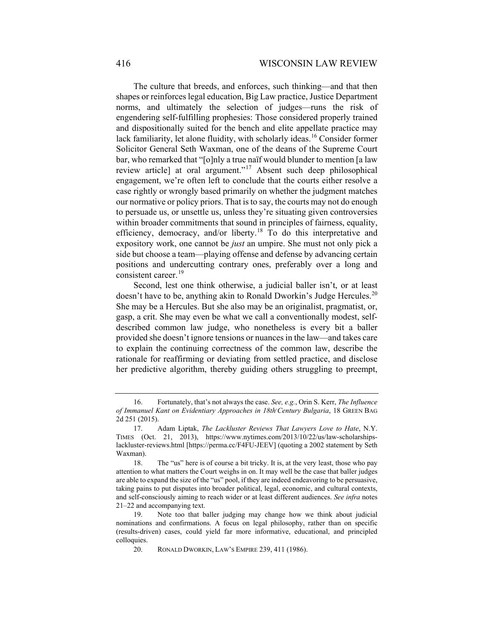<span id="page-5-5"></span>The culture that breeds, and enforces, such thinking—and that then shapes or reinforces legal education, Big Law practice, Justice Department norms, and ultimately the selection of judges—runs the risk of engendering self-fulfilling prophesies: Those considered properly trained and dispositionally suited for the bench and elite appellate practice may lack familiarity, let alone fluidity, with scholarly ideas.<sup>[16](#page-5-0)</sup> Consider former Solicitor General Seth Waxman, one of the deans of the Supreme Court bar, who remarked that "[o]nly a true naïf would blunder to mention [a law review article] at oral argument."[17](#page-5-1) Absent such deep philosophical engagement, we're often left to conclude that the courts either resolve a case rightly or wrongly based primarily on whether the judgment matches our normative or policy priors. That is to say, the courts may not do enough to persuade us, or unsettle us, unless they're situating given controversies within broader commitments that sound in principles of fairness, equality, efficiency, democracy, and/or liberty.<sup>[18](#page-5-2)</sup> To do this interpretative and expository work, one cannot be *just* an umpire. She must not only pick a side but choose a team—playing offense and defense by advancing certain positions and undercutting contrary ones, preferably over a long and consistent career.<sup>[19](#page-5-3)</sup>

Second, lest one think otherwise, a judicial baller isn't, or at least doesn't have to be, anything akin to Ronald Dworkin's Judge Hercules.<sup>[20](#page-5-4)</sup> She may be a Hercules. But she also may be an originalist, pragmatist, or, gasp, a crit. She may even be what we call a conventionally modest, selfdescribed common law judge, who nonetheless is every bit a baller provided she doesn't ignore tensions or nuances in the law—and takes care to explain the continuing correctness of the common law, describe the rationale for reaffirming or deviating from settled practice, and disclose her predictive algorithm, thereby guiding others struggling to preempt,

<span id="page-5-0"></span><sup>16.</sup> Fortunately, that's not always the case. *See, e.g.*, Orin S. Kerr, *The Influence of Immanuel Kant on Evidentiary Approaches in 18th-Century Bulgaria*, 18 GREEN BAG 2d 251 (2015).

<span id="page-5-1"></span><sup>17.</sup> Adam Liptak, *The Lackluster Reviews That Lawyers Love to Hate*, N.Y. TIMES (Oct. 21, 2013), https://www.nytimes.com/2013/10/22/us/law-scholarshipslackluster-reviews.html [https://perma.cc/F4FU-JEEV] (quoting a 2002 statement by Seth Waxman).

<span id="page-5-2"></span><sup>18.</sup> The "us" here is of course a bit tricky. It is, at the very least, those who pay attention to what matters the Court weighs in on. It may well be the case that baller judges are able to expand the size of the "us" pool, if they are indeed endeavoring to be persuasive, taking pains to put disputes into broader political, legal, economic, and cultural contexts, and self-consciously aiming to reach wider or at least different audiences. *See infra* notes [21](#page-6-0)[–22](#page-6-1) and accompanying text.

<span id="page-5-4"></span><span id="page-5-3"></span><sup>19.</sup> Note too that baller judging may change how we think about judicial nominations and confirmations. A focus on legal philosophy, rather than on specific (results-driven) cases, could yield far more informative, educational, and principled colloquies.

<sup>20.</sup> RONALD DWORKIN, LAW'S EMPIRE 239, 411 (1986).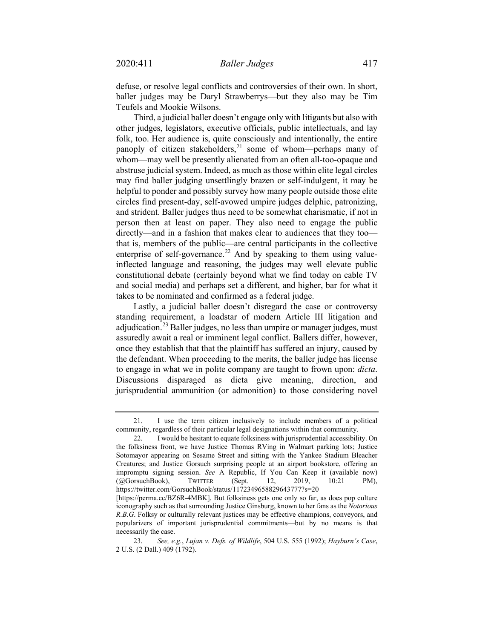defuse, or resolve legal conflicts and controversies of their own. In short, baller judges may be Daryl Strawberrys—but they also may be Tim Teufels and Mookie Wilsons.

<span id="page-6-0"></span>Third, a judicial baller doesn't engage only with litigants but also with other judges, legislators, executive officials, public intellectuals, and lay folk, too. Her audience is, quite consciously and intentionally, the entire panoply of citizen stakeholders,<sup>[21](#page-6-2)</sup> some of whom—perhaps many of whom—may well be presently alienated from an often all-too-opaque and abstruse judicial system. Indeed, as much as those within elite legal circles may find baller judging unsettlingly brazen or self-indulgent, it may be helpful to ponder and possibly survey how many people outside those elite circles find present-day, self-avowed umpire judges delphic, patronizing, and strident. Baller judges thus need to be somewhat charismatic, if not in person then at least on paper. They also need to engage the public directly—and in a fashion that makes clear to audiences that they too that is, members of the public—are central participants in the collective enterprise of self-governance.<sup>[22](#page-6-3)</sup> And by speaking to them using valueinflected language and reasoning, the judges may well elevate public constitutional debate (certainly beyond what we find today on cable TV and social media) and perhaps set a different, and higher, bar for what it takes to be nominated and confirmed as a federal judge.

<span id="page-6-5"></span><span id="page-6-1"></span>Lastly, a judicial baller doesn't disregard the case or controversy standing requirement, a loadstar of modern Article III litigation and adjudication.<sup>[23](#page-6-4)</sup> Baller judges, no less than umpire or manager judges, must assuredly await a real or imminent legal conflict. Ballers differ, however, once they establish that that the plaintiff has suffered an injury, caused by the defendant. When proceeding to the merits, the baller judge has license to engage in what we in polite company are taught to frown upon: *dicta*. Discussions disparaged as dicta give meaning, direction, and jurisprudential ammunition (or admonition) to those considering novel

<span id="page-6-2"></span><sup>21.</sup> I use the term citizen inclusively to include members of a political community, regardless of their particular legal designations within that community.

<span id="page-6-3"></span><sup>22.</sup> I would be hesitant to equate folksiness with jurisprudential accessibility. On the folksiness front, we have Justice Thomas RVing in Walmart parking lots; Justice Sotomayor appearing on Sesame Street and sitting with the Yankee Stadium Bleacher Creatures; and Justice Gorsuch surprising people at an airport bookstore, offering an impromptu signing session. *See* A Republic, If You Can Keep it (available now) (@GorsuchBook), TWITTER (Sept. 12, 2019, 10:21 PM), https://twitter.com/GorsuchBook/status/1172349658829643777?s=20

<sup>[</sup>https://perma.cc/BZ6R-4MBK]. But folksiness gets one only so far, as does pop culture iconography such as that surrounding Justice Ginsburg, known to her fans as the *Notorious R.B.G*. Folksy or culturally relevant justices may be effective champions, conveyors, and popularizers of important jurisprudential commitments—but by no means is that necessarily the case.

<span id="page-6-4"></span><sup>23.</sup> *See, e.g.*, *Lujan v. Defs. of Wildlife*, 504 U.S. 555 (1992); *Hayburn's Case*, 2 U.S. (2 Dall.) 409 (1792).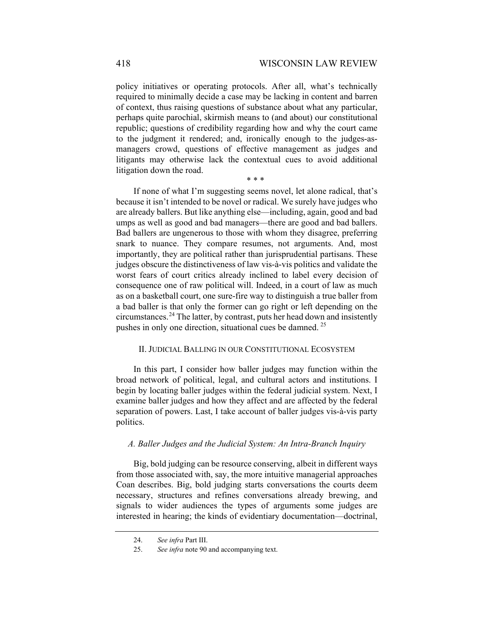policy initiatives or operating protocols. After all, what's technically required to minimally decide a case may be lacking in content and barren of context, thus raising questions of substance about what any particular, perhaps quite parochial, skirmish means to (and about) our constitutional republic; questions of credibility regarding how and why the court came to the judgment it rendered; and, ironically enough to the judges-asmanagers crowd, questions of effective management as judges and litigants may otherwise lack the contextual cues to avoid additional litigation down the road.

\* \* \*

If none of what I'm suggesting seems novel, let alone radical, that's because it isn't intended to be novel or radical. We surely have judges who are already ballers. But like anything else—including, again, good and bad umps as well as good and bad managers—there are good and bad ballers. Bad ballers are ungenerous to those with whom they disagree, preferring snark to nuance. They compare resumes, not arguments. And, most importantly, they are political rather than jurisprudential partisans. These judges obscure the distinctiveness of law vis-à-vis politics and validate the worst fears of court critics already inclined to label every decision of consequence one of raw political will. Indeed, in a court of law as much as on a basketball court, one sure-fire way to distinguish a true baller from a bad baller is that only the former can go right or left depending on the circumstances. [24](#page-7-0) The latter, by contrast, puts her head down and insistently pushes in only one direction, situational cues be damned. [25](#page-7-1)

#### II. JUDICIAL BALLING IN OUR CONSTITUTIONAL ECOSYSTEM

In this part, I consider how baller judges may function within the broad network of political, legal, and cultural actors and institutions. I begin by locating baller judges within the federal judicial system. Next, I examine baller judges and how they affect and are affected by the federal separation of powers. Last, I take account of baller judges vis-à-vis party politics.

## *A. Baller Judges and the Judicial System: An Intra-Branch Inquiry*

Big, bold judging can be resource conserving, albeit in different ways from those associated with, say, the more intuitive managerial approaches Coan describes. Big, bold judging starts conversations the courts deem necessary, structures and refines conversations already brewing, and signals to wider audiences the types of arguments some judges are interested in hearing; the kinds of evidentiary documentation—doctrinal,

<span id="page-7-0"></span><sup>24.</sup> *See infra* Part III.

<span id="page-7-1"></span><sup>25.</sup> *See infra* not[e 90](#page-26-0) and accompanying text.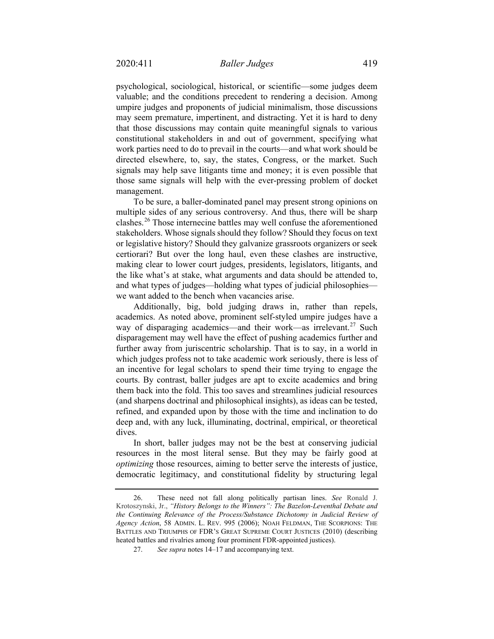psychological, sociological, historical, or scientific—some judges deem valuable; and the conditions precedent to rendering a decision. Among umpire judges and proponents of judicial minimalism, those discussions may seem premature, impertinent, and distracting. Yet it is hard to deny that those discussions may contain quite meaningful signals to various constitutional stakeholders in and out of government, specifying what work parties need to do to prevail in the courts—and what work should be directed elsewhere, to, say, the states, Congress, or the market. Such signals may help save litigants time and money; it is even possible that those same signals will help with the ever-pressing problem of docket management.

To be sure, a baller-dominated panel may present strong opinions on multiple sides of any serious controversy. And thus, there will be sharp clashes.[26](#page-8-0) Those internecine battles may well confuse the aforementioned stakeholders. Whose signals should they follow? Should they focus on text or legislative history? Should they galvanize grassroots organizers or seek certiorari? But over the long haul, even these clashes are instructive, making clear to lower court judges, presidents, legislators, litigants, and the like what's at stake, what arguments and data should be attended to, and what types of judges—holding what types of judicial philosophies we want added to the bench when vacancies arise.

Additionally, big, bold judging draws in, rather than repels, academics. As noted above, prominent self-styled umpire judges have a way of disparaging academics—and their work—as irrelevant.<sup>[27](#page-8-1)</sup> Such disparagement may well have the effect of pushing academics further and further away from juriscentric scholarship. That is to say, in a world in which judges profess not to take academic work seriously, there is less of an incentive for legal scholars to spend their time trying to engage the courts. By contrast, baller judges are apt to excite academics and bring them back into the fold. This too saves and streamlines judicial resources (and sharpens doctrinal and philosophical insights), as ideas can be tested, refined, and expanded upon by those with the time and inclination to do deep and, with any luck, illuminating, doctrinal, empirical, or theoretical dives.

In short, baller judges may not be the best at conserving judicial resources in the most literal sense. But they may be fairly good at *optimizing* those resources, aiming to better serve the interests of justice, democratic legitimacy, and constitutional fidelity by structuring legal

<span id="page-8-1"></span><span id="page-8-0"></span><sup>26.</sup> These need not fall along politically partisan lines. *See* Ronald J. Krotoszynski, Jr., *"History Belongs to the Winners": The Bazelon-Leventhal Debate and the Continuing Relevance of the Process/Substance Dichotomy in Judicial Review of Agency Action*, 58 ADMIN. L. REV. 995 (2006); NOAH FELDMAN, THE SCORPIONS: THE BATTLES AND TRIUMPHS OF FDR'S GREAT SUPREME COURT JUSTICES (2010) (describing heated battles and rivalries among four prominent FDR-appointed justices).

<sup>27.</sup> *See supra* notes [14](#page-4-2)[–17](#page-5-5) and accompanying text.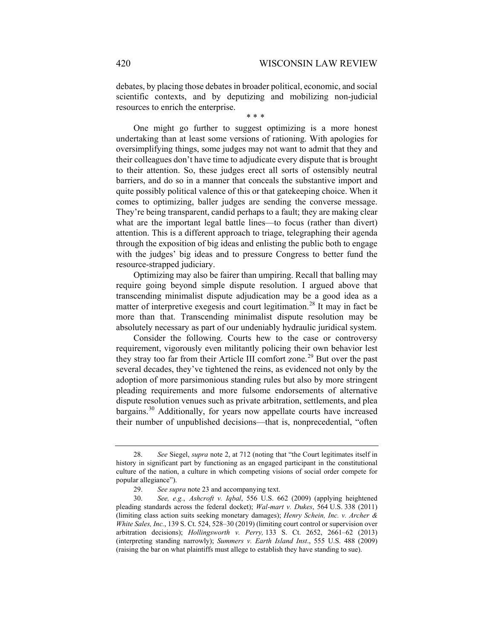debates, by placing those debates in broader political, economic, and social scientific contexts, and by deputizing and mobilizing non-judicial resources to enrich the enterprise.

\* \* \*

One might go further to suggest optimizing is a more honest undertaking than at least some versions of rationing. With apologies for oversimplifying things, some judges may not want to admit that they and their colleagues don't have time to adjudicate every dispute that is brought to their attention. So, these judges erect all sorts of ostensibly neutral barriers, and do so in a manner that conceals the substantive import and quite possibly political valence of this or that gatekeeping choice. When it comes to optimizing, baller judges are sending the converse message. They're being transparent, candid perhaps to a fault; they are making clear what are the important legal battle lines—to focus (rather than divert) attention. This is a different approach to triage, telegraphing their agenda through the exposition of big ideas and enlisting the public both to engage with the judges' big ideas and to pressure Congress to better fund the resource-strapped judiciary.

Optimizing may also be fairer than umpiring. Recall that balling may require going beyond simple dispute resolution. I argued above that transcending minimalist dispute adjudication may be a good idea as a matter of interpretive exegesis and court legitimation.<sup>[28](#page-9-0)</sup> It may in fact be more than that. Transcending minimalist dispute resolution may be absolutely necessary as part of our undeniably hydraulic juridical system.

Consider the following. Courts hew to the case or controversy requirement, vigorously even militantly policing their own behavior lest they stray too far from their Article III comfort zone.<sup>[29](#page-9-1)</sup> But over the past several decades, they've tightened the reins, as evidenced not only by the adoption of more parsimonious standing rules but also by more stringent pleading requirements and more fulsome endorsements of alternative dispute resolution venues such as private arbitration, settlements, and plea bargains.<sup>[30](#page-9-2)</sup> Additionally, for years now appellate courts have increased their number of unpublished decisions—that is, nonprecedential, "often

<span id="page-9-0"></span><sup>28.</sup> *See* Siegel, *supra* note [2,](#page-1-3) at 712 (noting that "the Court legitimates itself in history in significant part by functioning as an engaged participant in the constitutional culture of the nation, a culture in which competing visions of social order compete for popular allegiance").

<sup>29.</sup> *See supra* not[e 23](#page-6-5) and accompanying text.

<span id="page-9-2"></span><span id="page-9-1"></span><sup>30.</sup> *See, e.g.*, *Ashcroft v. Iqbal*, 556 U.S. 662 (2009) (applying heightened pleading standards across the federal docket); *Wal-mart v. Dukes*, 564 U.S. 338 (2011) (limiting class action suits seeking monetary damages); *Henry Schein, Inc. v. Archer & White Sales, Inc.*, 139 S. Ct. 524, 528–30 (2019) (limiting court control or supervision over arbitration decisions); *Hollingsworth v. Perry,* 133 S. Ct. 2652, 2661–62 (2013) (interpreting standing narrowly); *Summers v. Earth Island Inst*., 555 U.S. 488 (2009) (raising the bar on what plaintiffs must allege to establish they have standing to sue).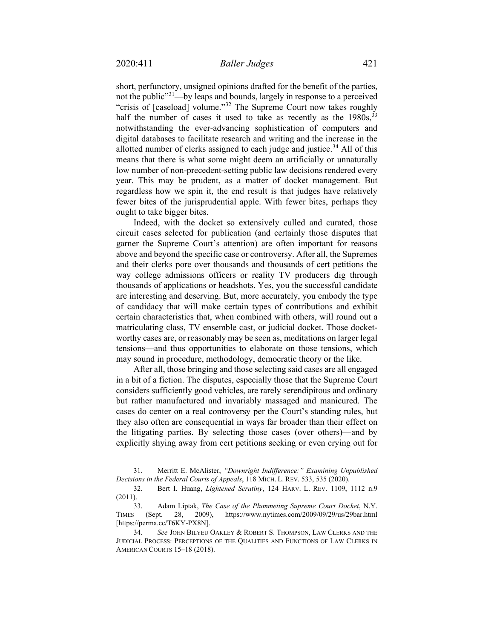short, perfunctory, unsigned opinions drafted for the benefit of the parties, not the public"<sup>31</sup>—by leaps and bounds, largely in response to a perceived "crisis of [caseload] volume."[32](#page-10-1) The Supreme Court now takes roughly half the number of cases it used to take as recently as the 1980s,<sup>[33](#page-10-2)</sup> notwithstanding the ever-advancing sophistication of computers and digital databases to facilitate research and writing and the increase in the allotted number of clerks assigned to each judge and justice. $34$  All of this means that there is what some might deem an artificially or unnaturally low number of non-precedent-setting public law decisions rendered every year. This may be prudent, as a matter of docket management. But regardless how we spin it, the end result is that judges have relatively fewer bites of the jurisprudential apple. With fewer bites, perhaps they ought to take bigger bites.

Indeed, with the docket so extensively culled and curated, those circuit cases selected for publication (and certainly those disputes that garner the Supreme Court's attention) are often important for reasons above and beyond the specific case or controversy. After all, the Supremes and their clerks pore over thousands and thousands of cert petitions the way college admissions officers or reality TV producers dig through thousands of applications or headshots. Yes, you the successful candidate are interesting and deserving. But, more accurately, you embody the type of candidacy that will make certain types of contributions and exhibit certain characteristics that, when combined with others, will round out a matriculating class, TV ensemble cast, or judicial docket. Those docketworthy cases are, or reasonably may be seen as, meditations on larger legal tensions—and thus opportunities to elaborate on those tensions, which may sound in procedure, methodology, democratic theory or the like.

After all, those bringing and those selecting said cases are all engaged in a bit of a fiction. The disputes, especially those that the Supreme Court considers sufficiently good vehicles, are rarely serendipitous and ordinary but rather manufactured and invariably massaged and manicured. The cases do center on a real controversy per the Court's standing rules, but they also often are consequential in ways far broader than their effect on the litigating parties. By selecting those cases (over others)—and by explicitly shying away from cert petitions seeking or even crying out for

<span id="page-10-0"></span><sup>31.</sup> Merritt E. McAlister, *"Downright Indifference:" Examining Unpublished Decisions in the Federal Courts of Appeals*, 118 MICH. L. REV. 533, 535 (2020).

<span id="page-10-1"></span><sup>32.</sup> Bert I. Huang, *Lightened Scrutiny*, 124 HARV. L. REV. 1109, 1112 n.9 (2011).

<span id="page-10-2"></span><sup>33.</sup> Adam Liptak, *The Case of the Plummeting Supreme Court Docket*, N.Y. TIMES (Sept. 28, 2009), <https://www.nytimes.com/2009/09/29/us/29bar.html> [https://perma.cc/T6KY-PX8N].

<span id="page-10-3"></span><sup>34.</sup> *See* JOHN BILYEU OAKLEY & ROBERT S. THOMPSON, LAW CLERKS AND THE JUDICIAL PROCESS: PERCEPTIONS OF THE QUALITIES AND FUNCTIONS OF LAW CLERKS IN AMERICAN COURTS 15–18 (2018).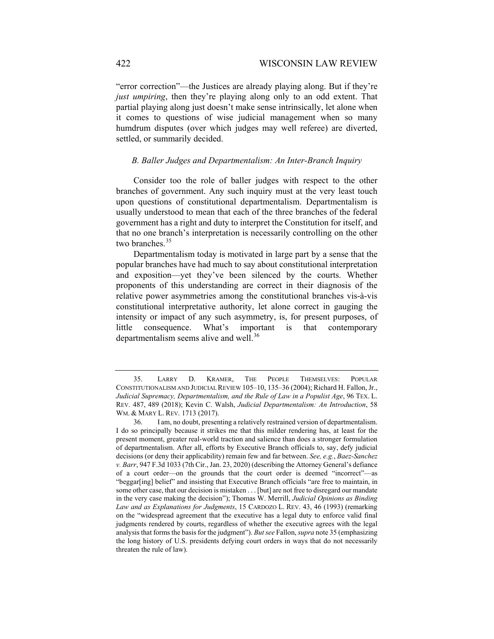"error correction"—the Justices are already playing along. But if they're *just umpiring*, then they're playing along only to an odd extent. That partial playing along just doesn't make sense intrinsically, let alone when it comes to questions of wise judicial management when so many humdrum disputes (over which judges may well referee) are diverted, settled, or summarily decided.

## *B. Baller Judges and Departmentalism: An Inter-Branch Inquiry*

Consider too the role of baller judges with respect to the other branches of government. Any such inquiry must at the very least touch upon questions of constitutional departmentalism. Departmentalism is usually understood to mean that each of the three branches of the federal government has a right and duty to interpret the Constitution for itself, and that no one branch's interpretation is necessarily controlling on the other two branches.<sup>[35](#page-11-1)</sup>

<span id="page-11-0"></span>Departmentalism today is motivated in large part by a sense that the popular branches have had much to say about constitutional interpretation and exposition—yet they've been silenced by the courts. Whether proponents of this understanding are correct in their diagnosis of the relative power asymmetries among the constitutional branches vis-à-vis constitutional interpretative authority, let alone correct in gauging the intensity or impact of any such asymmetry, is, for present purposes, of little consequence. What's important is that contemporary departmentalism seems alive and well.<sup>[36](#page-11-2)</sup>

<span id="page-11-1"></span><sup>35.</sup> LARRY D. KRAMER, THE PEOPLE THEMSELVES: POPULAR CONSTITUTIONALISM AND JUDICIAL REVIEW 105–10, 135–36 (2004); Richard H. Fallon, Jr., *Judicial Supremacy, Departmentalism, and the Rule of Law in a Populist Age*, 96 TEX. L. REV. 487, 489 (2018); Kevin C. Walsh, *Judicial Departmentalism: An Introduction*, 58 WM. & MARY L. REV. 1713 (2017).

<span id="page-11-2"></span><sup>36.</sup> I am, no doubt, presenting a relatively restrained version of departmentalism. I do so principally because it strikes me that this milder rendering has, at least for the present moment, greater real-world traction and salience than does a stronger formulation of departmentalism. After all, efforts by Executive Branch officials to, say, defy judicial decisions (or deny their applicability) remain few and far between. *See, e.g.*, *Baez-Sanchez v. Barr*, 947 F.3d 1033 (7th Cir., Jan. 23, 2020) (describing the Attorney General's defiance of a court order—on the grounds that the court order is deemed "incorrect"—as "beggar[ing] belief" and insisting that Executive Branch officials "are free to maintain, in some other case, that our decision is mistaken . . . [but] are not free to disregard our mandate in the very case making the decision"); Thomas W. Merrill, *Judicial Opinions as Binding Law and as Explanations for Judgments*, 15 CARDOZO L. REV. 43, 46 (1993) (remarking on the "widespread agreement that the executive has a legal duty to enforce valid final judgments rendered by courts, regardless of whether the executive agrees with the legal analysis that forms the basis for the judgment"). *But see* Fallon, *supra* not[e 35](#page-11-0) (emphasizing the long history of U.S. presidents defying court orders in ways that do not necessarily threaten the rule of law).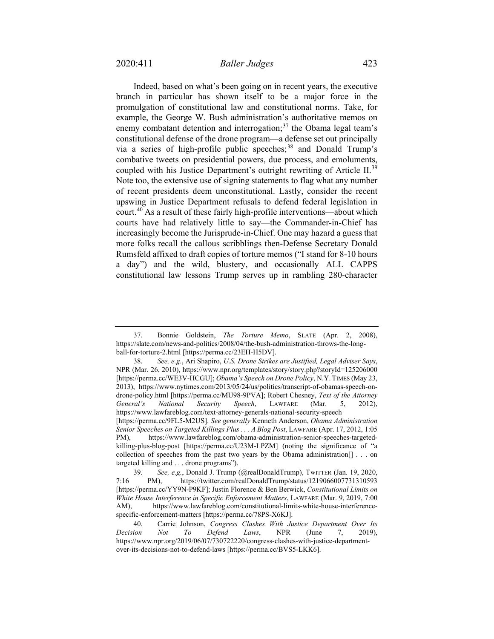Indeed, based on what's been going on in recent years, the executive branch in particular has shown itself to be a major force in the promulgation of constitutional law and constitutional norms. Take, for example, the George W. Bush administration's authoritative memos on enemy combatant detention and interrogation;<sup>[37](#page-12-0)</sup> the Obama legal team's constitutional defense of the drone program—a defense set out principally via a series of high-profile public speeches;<sup>[38](#page-12-1)</sup> and Donald Trump's combative tweets on presidential powers, due process, and emoluments, coupled with his Justice Department's outright rewriting of Article II.<sup>[39](#page-12-2)</sup> Note too, the extensive use of signing statements to flag what any number of recent presidents deem unconstitutional. Lastly, consider the recent upswing in Justice Department refusals to defend federal legislation in court.<sup>[40](#page-12-3)</sup> As a result of these fairly high-profile interventions—about which courts have had relatively little to say—the Commander-in-Chief has increasingly become the Jurisprude-in-Chief. One may hazard a guess that more folks recall the callous scribblings then-Defense Secretary Donald Rumsfeld affixed to draft copies of torture memos ("I stand for 8-10 hours a day") and the wild, blustery, and occasionally ALL CAPPS constitutional law lessons Trump serves up in rambling 280-character

<span id="page-12-0"></span><sup>37.</sup> Bonnie Goldstein, *The Torture Memo*, SLATE (Apr. 2, 2008), https://slate.com/news-and-politics/2008/04/the-bush-administration-throws-the-longball-for-torture-2.html [https://perma.cc/23EH-H5DV].

<span id="page-12-1"></span><sup>38.</sup> *See, e.g.*, Ari Shapiro, *U.S. Drone Strikes are Justified, Legal Adviser Says*, NPR (Mar. 26, 2010), https://www.npr.org/templates/story/story.php?storyId=125206000 [https://perma.cc/WE3V-HCGU]; *Obama's Speech on Drone Policy*, N.Y. TIMES (May 23, 2013), [https://www.nytimes.com/2013/05/24/us/politics/transcript-of-obamas-speech-on](https://www.nytimes.com/2013/05/24/us/politics/transcript-of-obamas-speech-on-drone-policy.html)[drone-policy.html](https://www.nytimes.com/2013/05/24/us/politics/transcript-of-obamas-speech-on-drone-policy.html) [https://perma.cc/MU98-9PVA]; Robert Chesney, *Text of the Attorney General's National Security Speech*, LAWFARE (Mar. 5, 2012), <https://www.lawfareblog.com/text-attorney-generals-national-security-speech> [https://perma.cc/9FL5-M2US]. *See generally* Kenneth Anderson, *Obama Administration Senior Speeches on Targeted Killings Plus . . . A Blog Post*, LAWFARE (Apr. 17, 2012, 1:05 PM), [https://www.lawfareblog.com/obama-administration-senior-speeches-targeted](https://www.lawfareblog.com/obama-administration-senior-speeches-targeted-killing-plus-blog-post)[killing-plus-blog-post](https://www.lawfareblog.com/obama-administration-senior-speeches-targeted-killing-plus-blog-post) [https://perma.cc/U23M-LPZM] (noting the significance of "a collection of speeches from the past two years by the Obama administration[] . . . on targeted killing and . . . drone programs").

<span id="page-12-2"></span><sup>39.</sup> *See, e.g.*, Donald J. Trump (@realDonaldTrump), TWITTER (Jan. 19, 2020, 7:16 PM), https://twitter.com/realDonaldTrump/status/1219066007731310593 [https://perma.cc/YY9N-P9KF]; Justin Florence & Ben Berwick, *Constitutional Limits on White House Interference in Specific Enforcement Matters*, LAWFARE (Mar. 9, 2019, 7:00 AM), https://www.lawfareblog.com/constitutional-limits-white-house-interferencespecific-enforcement-matters [https://perma.cc/78PS-X6KJ].

<span id="page-12-3"></span><sup>40.</sup> Carrie Johnson, *Congress Clashes With Justice Department Over Its Decision Not To Defend Laws*, NPR (June 7, 2019), https://www.npr.org/2019/06/07/730722220/congress-clashes-with-justice-departmentover-its-decisions-not-to-defend-laws [https://perma.cc/BVS5-LKK6].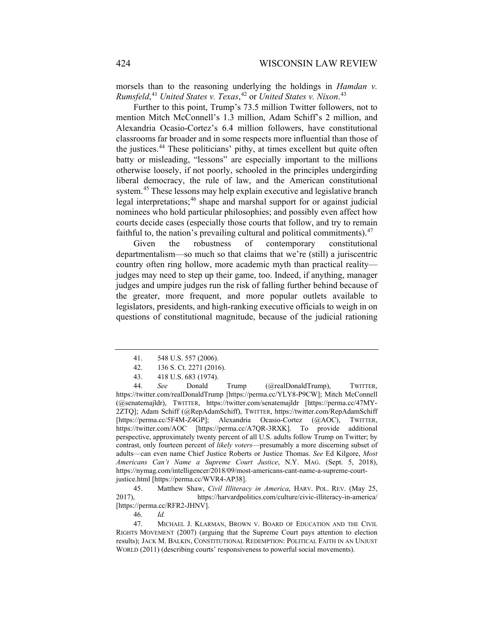morsels than to the reasoning underlying the holdings in *Hamdan v. Rumsfeld*, [41](#page-13-0) *United States v. Texas*, [42](#page-13-1) or *United States v. Nixon*. [43](#page-13-2)

Further to this point, Trump's 73.5 million Twitter followers, not to mention Mitch McConnell's 1.3 million, Adam Schiff's 2 million, and Alexandria Ocasio-Cortez's 6.4 million followers, have constitutional classrooms far broader and in some respects more influential than those of the justices.<sup>[44](#page-13-3)</sup> These politicians' pithy, at times excellent but quite often batty or misleading, "lessons" are especially important to the millions otherwise loosely, if not poorly, schooled in the principles undergirding liberal democracy, the rule of law, and the American constitutional system.<sup>[45](#page-13-4)</sup> These lessons may help explain executive and legislative branch legal interpretations;[46](#page-13-5) shape and marshal support for or against judicial nominees who hold particular philosophies; and possibly even affect how courts decide cases (especially those courts that follow, and try to remain faithful to, the nation's prevailing cultural and political commitments).  $47$ 

<span id="page-13-7"></span>Given the robustness of contemporary constitutional departmentalism—so much so that claims that we're (still) a juriscentric country often ring hollow, more academic myth than practical reality judges may need to step up their game, too. Indeed, if anything, manager judges and umpire judges run the risk of falling further behind because of the greater, more frequent, and more popular outlets available to legislators, presidents, and high-ranking executive officials to weigh in on questions of constitutional magnitude, because of the judicial rationing

<span id="page-13-3"></span><span id="page-13-2"></span><span id="page-13-1"></span><span id="page-13-0"></span>44. *See* Donald Trump (@realDonaldTrump), TWITTER, https://twitter.com/realDonaldTrump [https://perma.cc/YLY8-P9CW]; Mitch McConnell (@senatemajldr), TWITTER, https://twitter.com/senatemajldr [https://perma.cc/47MY-2ZTQ]; Adam Schiff (@RepAdamSchiff), TWITTER, https://twitter.com/RepAdamSchiff [https://perma.cc/5F4M-Z4GP]; Alexandria Ocasio-Cortez (@AOC), TWITTER, https://twitter.com/AOC [https://perma.cc/A7QR-3RXK]. To provide additional perspective, approximately twenty percent of all U.S. adults follow Trump on Twitter; by contrast, only fourteen percent of *likely voters*—presumably a more discerning subset of adults—can even name Chief Justice Roberts or Justice Thomas. *See* Ed Kilgore, *Most Americans Can't Name a Supreme Court Justice*, N.Y. MAG. (Sept. 5, 2018), https://nymag.com/intelligencer/2018/09/most-americans-cant-name-a-supreme-courtjustice.html [https://perma.cc/WVR4-AP38].

<span id="page-13-4"></span>45. Matthew Shaw, *Civil Illiteracy in America*, HARV. POL. REV. (May 25, 2017), https://harvardpolitics.com/culture/civic-illiteracy-in-america/ [https://perma.cc/RFR2-JHNV].

<span id="page-13-6"></span><span id="page-13-5"></span>47. MICHAEL J. KLARMAN, BROWN V. BOARD OF EDUCATION AND THE CIVIL RIGHTS MOVEMENT (2007) (arguing that the Supreme Court pays attention to election results); JACK M. BALKIN, CONSTITUTIONAL REDEMPTION: POLITICAL FAITH IN AN UNJUST WORLD (2011) (describing courts' responsiveness to powerful social movements).

<sup>41.</sup> 548 U.S. 557 (2006).

<sup>42.</sup> 136 S. Ct. 2271 (2016).

<sup>43.</sup> 418 U.S. 683 (1974).

<sup>46.</sup> *Id.*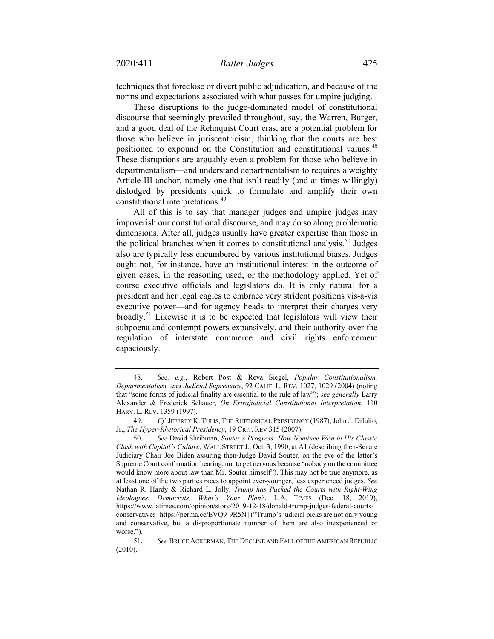techniques that foreclose or divert public adjudication, and because of the norms and expectations associated with what passes for umpire judging.

These disruptions to the judge-dominated model of constitutional discourse that seemingly prevailed throughout, say, the Warren, Burger, and a good deal of the Rehnquist Court eras, are a potential problem for those who believe in juriscentricism, thinking that the courts are best positioned to expound on the Constitution and constitutional values.<sup>[48](#page-14-0)</sup> These disruptions are arguably even a problem for those who believe in departmentalism—and understand departmentalism to requires a weighty Article III anchor, namely one that isn't readily (and at times willingly) dislodged by presidents quick to formulate and amplify their own constitutional interpretations.[49](#page-14-1)

<span id="page-14-4"></span>All of this is to say that manager judges and umpire judges may impoverish our constitutional discourse, and may do so along problematic dimensions. After all, judges usually have greater expertise than those in the political branches when it comes to constitutional analysis.<sup>[50](#page-14-2)</sup> Judges also are typically less encumbered by various institutional biases. Judges ought not, for instance, have an institutional interest in the outcome of given cases, in the reasoning used, or the methodology applied. Yet of course executive officials and legislators do. It is only natural for a president and her legal eagles to embrace very strident positions vis-à-vis executive power—and for agency heads to interpret their charges very broadly.<sup>[51](#page-14-3)</sup> Likewise it is to be expected that legislators will view their subpoena and contempt powers expansively, and their authority over the regulation of interstate commerce and civil rights enforcement capaciously.

<span id="page-14-0"></span><sup>48.</sup> *See, e.g.*, Robert Post & Reva Siegel, *Popular Constitutionalism, Departmentalism, and Judicial Supremacy*, 92 CALIF. L. REV. 1027, 1029 (2004) (noting that "some forms of judicial finality are essential to the rule of law"); *see generally* Larry Alexander & Frederick Schauer, *On Extrajudicial Constitutional Interpretation*, 110 HARV. L. REV. 1359 (1997).

<span id="page-14-1"></span><sup>49.</sup> *Cf. JEFFREY K. TULIS, THE RHETORICAL PRESIDENCY* (1987); John J. DiIulio, Jr., *The Hyper-Rhetorical Presidency*, 19 CRIT. REV 315 (2007).

<span id="page-14-2"></span><sup>50.</sup> *See* David Shribman, *Souter's Progress: How Nominee Won in His Classic Clash with Capital's Culture*, WALL STREET J., Oct. 3, 1990, at A1 (describing then-Senate Judiciary Chair Joe Biden assuring then-Judge David Souter, on the eve of the latter's Supreme Court confirmation hearing, not to get nervous because "nobody on the committee would know more about law than Mr. Souter himself"). This may not be true anymore, as at least one of the two parties races to appoint ever-younger, less experienced judges. *See* Nathan R. Hardy & Richard L. Jolly, *Trump has Packed the Courts with Right-Wing Ideologues. Democrats, What's Your Plan?*, L.A. TIMES (Dec. 18, 2019), [https://www.latimes.com/opinion/story/2019-12-18/donald-trump-judges-federal-courts](https://www.latimes.com/opinion/story/2019-12-18/donald-trump-judges-federal-courts-conservatives)[conservatives](https://www.latimes.com/opinion/story/2019-12-18/donald-trump-judges-federal-courts-conservatives) [https://perma.cc/EVQ9-9R5N] ("Trump's judicial picks are not only young and conservative, but a disproportionate number of them are also inexperienced or worse.").

<span id="page-14-3"></span><sup>51.</sup> *See* BRUCE ACKERMAN, THE DECLINE AND FALL OF THE AMERICAN REPUBLIC (2010).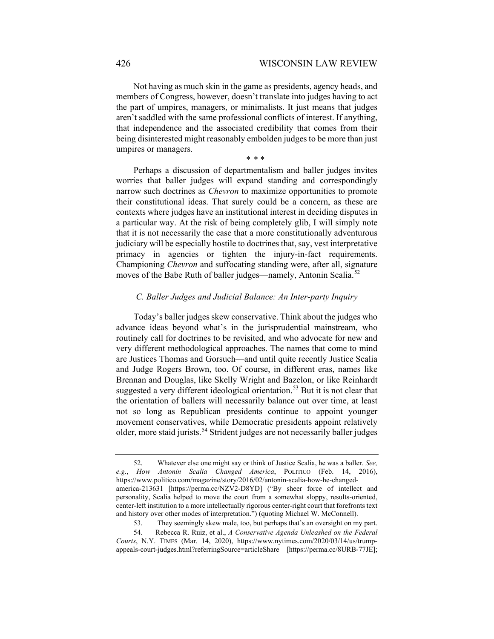Not having as much skin in the game as presidents, agency heads, and members of Congress, however, doesn't translate into judges having to act the part of umpires, managers, or minimalists. It just means that judges aren't saddled with the same professional conflicts of interest. If anything, that independence and the associated credibility that comes from their being disinterested might reasonably embolden judges to be more than just umpires or managers.

\* \* \*

Perhaps a discussion of departmentalism and baller judges invites worries that baller judges will expand standing and correspondingly narrow such doctrines as *Chevron* to maximize opportunities to promote their constitutional ideas. That surely could be a concern, as these are contexts where judges have an institutional interest in deciding disputes in a particular way. At the risk of being completely glib, I will simply note that it is not necessarily the case that a more constitutionally adventurous judiciary will be especially hostile to doctrines that, say, vest interpretative primacy in agencies or tighten the injury-in-fact requirements. Championing *Chevron* and suffocating standing were, after all, signature moves of the Babe Ruth of baller judges—namely, Antonin Scalia.<sup>[52](#page-15-0)</sup>

# *C. Baller Judges and Judicial Balance: An Inter-party Inquiry*

Today's baller judges skew conservative. Think about the judges who advance ideas beyond what's in the jurisprudential mainstream, who routinely call for doctrines to be revisited, and who advocate for new and very different methodological approaches. The names that come to mind are Justices Thomas and Gorsuch—and until quite recently Justice Scalia and Judge Rogers Brown, too. Of course, in different eras, names like Brennan and Douglas, like Skelly Wright and Bazelon, or like Reinhardt suggested a very different ideological orientation.<sup>[53](#page-15-1)</sup> But it is not clear that the orientation of ballers will necessarily balance out over time, at least not so long as Republican presidents continue to appoint younger movement conservatives, while Democratic presidents appoint relatively older, more staid jurists.[54](#page-15-2) Strident judges are not necessarily baller judges

<span id="page-15-0"></span><sup>52.</sup> Whatever else one might say or think of Justice Scalia, he was a baller. *See, e.g.*, *How Antonin Scalia Changed America*, POLITICO (Feb. 14, 2016), [https://www.politico.com/magazine/story/2016/02/antonin-scalia-how-he-changed](https://www.politico.com/magazine/story/2016/02/antonin-scalia-how-he-changed-america-213631)[america-213631](https://www.politico.com/magazine/story/2016/02/antonin-scalia-how-he-changed-america-213631) [https://perma.cc/NZV2-D8YD] ("By sheer force of intellect and personality, Scalia helped to move the court from a somewhat sloppy, results-oriented, center-left institution to a more intellectually rigorous center-right court that forefronts text and history over other modes of interpretation.") (quoting Michael W. McConnell).

<sup>53.</sup> They seemingly skew male, too, but perhaps that's an oversight on my part.

<span id="page-15-2"></span><span id="page-15-1"></span><sup>54.</sup> Rebecca R. Ruiz, et al., *A Conservative Agenda Unleashed on the Federal Courts*, N.Y. TIMES (Mar. 14, 2020), https://www.nytimes.com/2020/03/14/us/trumpappeals-court-judges.html?referringSource=articleShare [https://perma.cc/8URB-77JE];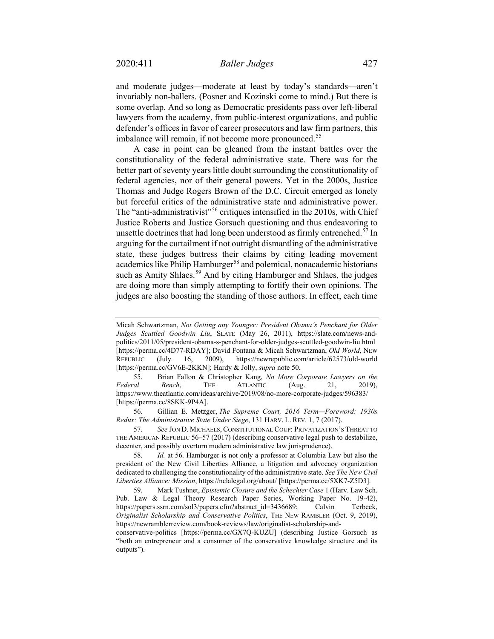and moderate judges—moderate at least by today's standards—aren't invariably non-ballers. (Posner and Kozinski come to mind.) But there is some overlap. And so long as Democratic presidents pass over left-liberal lawyers from the academy, from public-interest organizations, and public defender's offices in favor of career prosecutors and law firm partners, this imbalance will remain, if not become more pronounced.<sup>[55](#page-16-0)</sup>

<span id="page-16-5"></span>A case in point can be gleaned from the instant battles over the constitutionality of the federal administrative state. There was for the better part of seventy years little doubt surrounding the constitutionality of federal agencies, nor of their general powers. Yet in the 2000s, Justice Thomas and Judge Rogers Brown of the D.C. Circuit emerged as lonely but forceful critics of the administrative state and administrative power. The "anti-administrativist"<sup>[56](#page-16-1)</sup> critiques intensified in the 2010s, with Chief Justice Roberts and Justice Gorsuch questioning and thus endeavoring to unsettle doctrines that had long been understood as firmly entrenched.<sup>[57](#page-16-2)</sup> In arguing for the curtailment if not outright dismantling of the administrative state, these judges buttress their claims by citing leading movement academics like Philip Hamburger<sup>[58](#page-16-3)</sup> and polemical, nonacademic historians such as Amity Shlaes.<sup>[59](#page-16-4)</sup> And by citing Hamburger and Shlaes, the judges are doing more than simply attempting to fortify their own opinions. The judges are also boosting the standing of those authors. In effect, each time

<span id="page-16-0"></span>55. Brian Fallon & Christopher Kang, *No More Corporate Lawyers on the Federal Bench*, THE ATLANTIC (Aug. 21, 2019), <https://www.theatlantic.com/ideas/archive/2019/08/no-more-corporate-judges/596383/> [https://perma.cc/8SKK-9P4A].

<span id="page-16-1"></span>56. Gillian E. Metzger, *The Supreme Court, 2016 Term—Foreword: 1930s Redux: The Administrative State Under Siege*, 131 HARV. L. REV. 1, 7 (2017).

<span id="page-16-2"></span>57. *See* JON D. MICHAELS, CONSTITUTIONAL COUP: PRIVATIZATION'S THREAT TO THE AMERICAN REPUBLIC 56–57 (2017) (describing conservative legal push to destabilize, decenter, and possibly overturn modern administrative law jurisprudence).

<span id="page-16-3"></span>58. *Id.* at 56. Hamburger is not only a professor at Columbia Law but also the president of the New Civil Liberties Alliance, a litigation and advocacy organization dedicated to challenging the constitutionality of the administrative state. *See The New Civil Liberties Alliance: Mission*, https://nclalegal.org/about/ [https://perma.cc/5XK7-Z5D3].

<span id="page-16-4"></span>59. Mark Tushnet, *Epistemic Closure and the Schechter Case* 1 (Harv. Law Sch. Pub. Law & Legal Theory Research Paper Series, Working Paper No. 19-42), [https://papers.ssrn.com/sol3/papers.cfm?abstract\\_id=3436689;](https://papers.ssrn.com/sol3/papers.cfm?abstract_id=3436689) Calvin Terbeek, *Originalist Scholarship and Conservative Politics*, THE NEW RAMBLER (Oct. 9, 2019), [https://newramblerreview.com/book-reviews/law/originalist-scholarship-and-](https://newramblerreview.com/book-reviews/law/originalist-scholarship-and-conservative-politics)

[conservative-politics](https://newramblerreview.com/book-reviews/law/originalist-scholarship-and-conservative-politics) [https://perma.cc/GX7Q-KUZU] (describing Justice Gorsuch as "both an entrepreneur and a consumer of the conservative knowledge structure and its outputs").

Micah Schwartzman, *Not Getting any Younger: President Obama's Penchant for Older Judges Scuttled Goodwin Liu*, SLATE (May 26, 2011), [https://slate.com/news-and](https://slate.com/news-and-politics/2011/05/president-obama-s-penchant-for-older-judges-scuttled-goodwin-liu.html)[politics/2011/05/president-obama-s-penchant-for-older-judges-scuttled-goodwin-liu.html](https://slate.com/news-and-politics/2011/05/president-obama-s-penchant-for-older-judges-scuttled-goodwin-liu.html) [https://perma.cc/4D77-RDAY]; David Fontana & Micah Schwartzman, *Old World*, NEW REPUBLIC (July 16, 2009), <https://newrepublic.com/article/62573/old-world> [https://perma.cc/GV6E-2KKN]; Hardy & Jolly, *supra* not[e 50.](#page-14-4)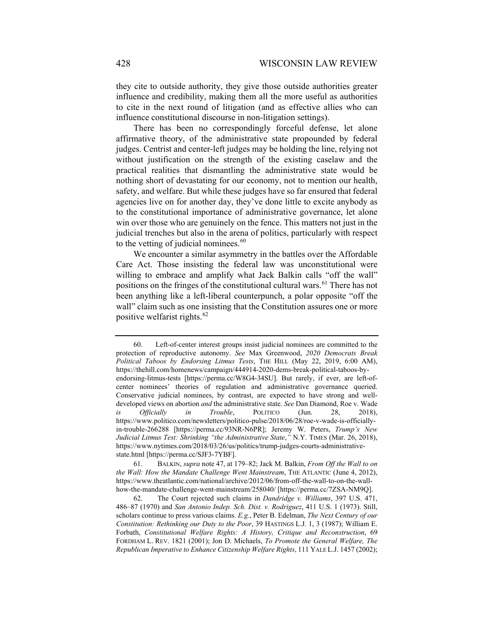they cite to outside authority, they give those outside authorities greater influence and credibility, making them all the more useful as authorities to cite in the next round of litigation (and as effective allies who can influence constitutional discourse in non-litigation settings).

There has been no correspondingly forceful defense, let alone affirmative theory, of the administrative state propounded by federal judges. Centrist and center-left judges may be holding the line, relying not without justification on the strength of the existing caselaw and the practical realities that dismantling the administrative state would be nothing short of devastating for our economy, not to mention our health, safety, and welfare. But while these judges have so far ensured that federal agencies live on for another day, they've done little to excite anybody as to the constitutional importance of administrative governance, let alone win over those who are genuinely on the fence. This matters not just in the judicial trenches but also in the arena of politics, particularly with respect to the vetting of judicial nominees.<sup>[60](#page-17-0)</sup>

We encounter a similar asymmetry in the battles over the Affordable Care Act. Those insisting the federal law was unconstitutional were willing to embrace and amplify what Jack Balkin calls "off the wall" positions on the fringes of the constitutional cultural wars.<sup>[61](#page-17-1)</sup> There has not been anything like a left-liberal counterpunch, a polar opposite "off the wall" claim such as one insisting that the Constitution assures one or more positive welfarist rights.<sup>[62](#page-17-2)</sup>

<span id="page-17-0"></span><sup>60.</sup> Left-of-center interest groups insist judicial nominees are committed to the protection of reproductive autonomy. *See* Max Greenwood, *2020 Democrats Break Political Taboos by Endorsing Litmus Tests*, THE HILL (May 22, 2019, 6:00 AM), https://thehill.com/homenews/campaign/444914-2020-dems-break-political-taboos-byendorsing-litmus-tests [https://perma.cc/W8G4-34SU]. But rarely, if ever, are left-ofcenter nominees' theories of regulation and administrative governance queried. Conservative judicial nominees, by contrast, are expected to have strong and welldeveloped views on abortion *and* the administrative state. *See* Dan Diamond, Roe v. Wade *is Officially in Trouble*, POLITICO (Jun. 28, 2018), https://www.politico.com/newsletters/politico-pulse/2018/06/28/roe-v-wade-is-officiallyin-trouble-266288 [https://perma.cc/93NR-N6PR]; Jeremy W. Peters, *Trump's New Judicial Litmus Test: Shrinking "the Administrative State*,*"* N.Y. TIMES (Mar. 26, 2018), https://www.nytimes.com/2018/03/26/us/politics/trump-judges-courts-administrativestate.html [https://perma.cc/SJF3-7YBF].

<span id="page-17-1"></span><sup>61.</sup> BALKIN, *supra* note [47,](#page-13-7) at 179–82; Jack M. Balkin, *From Off the Wall to on the Wall: How the Mandate Challenge Went Mainstream*, THE ATLANTIC (June 4, 2012), [https://www.theatlantic.com/national/archive/2012/06/from-off-the-wall-to-on-the-wall](https://www.theatlantic.com/national/archive/2012/06/from-off-the-wall-to-on-the-wall-how-the-mandate-challenge-went-mainstream/258040/)[how-the-mandate-challenge-went-mainstream/258040/](https://www.theatlantic.com/national/archive/2012/06/from-off-the-wall-to-on-the-wall-how-the-mandate-challenge-went-mainstream/258040/) [https://perma.cc/7ZSA-NM9Q].

<span id="page-17-2"></span><sup>62.</sup> The Court rejected such claims in *Dandridge v. Williams*, 397 U.S. 471, 486–87 (1970) and *San Antonio Indep. Sch. Dist. v. Rodriguez*, 411 U.S. 1 (1973). Still, scholars continue to press various claims. *E.g.*, Peter B. Edelman, *The Next Century of our Constitution: Rethinking our Duty to the Poor*, 39 HASTINGS L.J. 1, 3 (1987); William E. Forbath, *Constitutional Welfare Rights: A History, Critique and Reconstruction*, 69 FORDHAM L. REV. 1821 (2001); Jon D. Michaels, *To Promote the General Welfare, The Republican Imperative to Enhance Citizenship Welfare Rights*, 111 YALE L.J. 1457 (2002);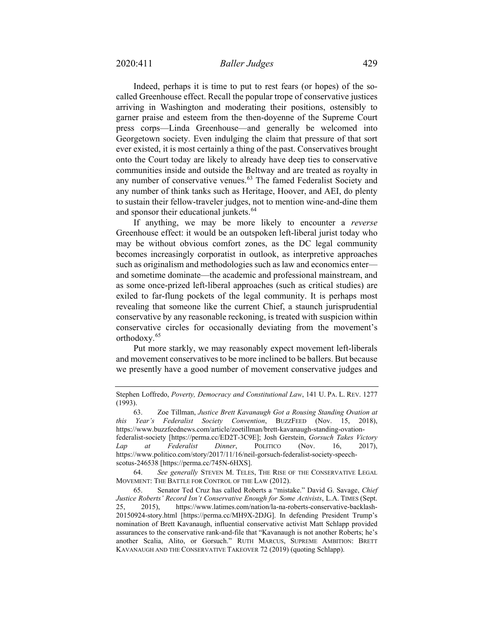Indeed, perhaps it is time to put to rest fears (or hopes) of the socalled Greenhouse effect. Recall the popular trope of conservative justices arriving in Washington and moderating their positions, ostensibly to garner praise and esteem from the then-doyenne of the Supreme Court press corps—Linda Greenhouse—and generally be welcomed into Georgetown society. Even indulging the claim that pressure of that sort ever existed, it is most certainly a thing of the past. Conservatives brought onto the Court today are likely to already have deep ties to conservative communities inside and outside the Beltway and are treated as royalty in any number of conservative venues.<sup>[63](#page-18-0)</sup> The famed Federalist Society and any number of think tanks such as Heritage, Hoover, and AEI, do plenty to sustain their fellow-traveler judges, not to mention wine-and-dine them and sponsor their educational junkets.<sup>[64](#page-18-1)</sup>

If anything, we may be more likely to encounter a *reverse* Greenhouse effect: it would be an outspoken left-liberal jurist today who may be without obvious comfort zones, as the DC legal community becomes increasingly corporatist in outlook, as interpretive approaches such as originalism and methodologies such as law and economics enter and sometime dominate—the academic and professional mainstream, and as some once-prized left-liberal approaches (such as critical studies) are exiled to far-flung pockets of the legal community. It is perhaps most revealing that someone like the current Chief, a staunch jurisprudential conservative by any reasonable reckoning, is treated with suspicion within conservative circles for occasionally deviating from the movement's orthodoxy.[65](#page-18-2)

Put more starkly, we may reasonably expect movement left-liberals and movement conservatives to be more inclined to be ballers. But because we presently have a good number of movement conservative judges and

<span id="page-18-1"></span>64. *See generally* STEVEN M. TELES, THE RISE OF THE CONSERVATIVE LEGAL MOVEMENT: THE BATTLE FOR CONTROL OF THE LAW (2012).

Stephen Loffredo, *Poverty, Democracy and Constitutional Law*, 141 U. PA. L. REV. 1277 (1993).

<span id="page-18-0"></span><sup>63.</sup> Zoe Tillman, *Justice Brett Kavanaugh Got a Rousing Standing Ovation at this Year's Federalist Society Convention*, BUZZFEED (Nov. 15, 2018), [https://www.buzzfeednews.com/article/zoetillman/brett-kavanaugh-standing-ovation](https://www.buzzfeednews.com/article/zoetillman/brett-kavanaugh-standing-ovation-federalist-society)[federalist-society](https://www.buzzfeednews.com/article/zoetillman/brett-kavanaugh-standing-ovation-federalist-society) [https://perma.cc/ED2T-3C9E]; Josh Gerstein, *Gorsuch Takes Victory Lap at Federalist Dinner*, POLITICO (Nov. 16, 2017), [https://www.politico.com/story/2017/11/16/neil-gorsuch-federalist-society-speech](https://www.politico.com/story/2017/11/16/neil-gorsuch-federalist-society-speech-scotus-246538)[scotus-246538](https://www.politico.com/story/2017/11/16/neil-gorsuch-federalist-society-speech-scotus-246538) [https://perma.cc/745N-6HXS].

<span id="page-18-2"></span><sup>65.</sup> Senator Ted Cruz has called Roberts a "mistake." David G. Savage, *Chief Justice Roberts' Record Isn't Conservative Enough for Some Activists*, L.A. TIMES (Sept. 25, 2015), [https://www.latimes.com/nation/la-na-roberts-conservative-backlash-](https://www.latimes.com/nation/la-na-roberts-conservative-backlash-20150924-story.html)[20150924-story.html](https://www.latimes.com/nation/la-na-roberts-conservative-backlash-20150924-story.html) [https://perma.cc/MH9X-2DJG]. In defending President Trump's nomination of Brett Kavanaugh, influential conservative activist Matt Schlapp provided assurances to the conservative rank-and-file that "Kavanaugh is not another Roberts; he's another Scalia, Alito, or Gorsuch." RUTH MARCUS, SUPREME AMBITION: BRETT KAVANAUGH AND THE CONSERVATIVE TAKEOVER 72 (2019) (quoting Schlapp).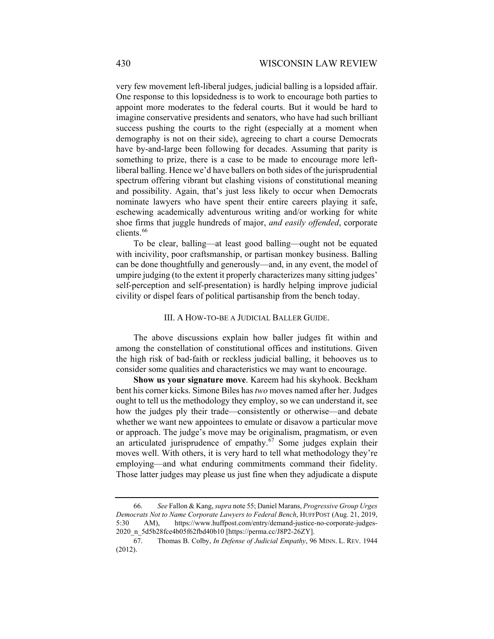very few movement left-liberal judges, judicial balling is a lopsided affair. One response to this lopsidedness is to work to encourage both parties to appoint more moderates to the federal courts. But it would be hard to imagine conservative presidents and senators, who have had such brilliant success pushing the courts to the right (especially at a moment when demography is not on their side), agreeing to chart a course Democrats have by-and-large been following for decades. Assuming that parity is something to prize, there is a case to be made to encourage more leftliberal balling. Hence we'd have ballers on both sides of the jurisprudential spectrum offering vibrant but clashing visions of constitutional meaning and possibility. Again, that's just less likely to occur when Democrats nominate lawyers who have spent their entire careers playing it safe, eschewing academically adventurous writing and/or working for white shoe firms that juggle hundreds of major, *and easily offended*, corporate clients.<sup>[66](#page-19-0)</sup>

To be clear, balling—at least good balling—ought not be equated with incivility, poor craftsmanship, or partisan monkey business. Balling can be done thoughtfully and generously—and, in any event, the model of umpire judging (to the extent it properly characterizes many sitting judges' self-perception and self-presentation) is hardly helping improve judicial civility or dispel fears of political partisanship from the bench today.

## III. A HOW-TO-BE A JUDICIAL BALLER GUIDE.

The above discussions explain how baller judges fit within and among the constellation of constitutional offices and institutions. Given the high risk of bad-faith or reckless judicial balling, it behooves us to consider some qualities and characteristics we may want to encourage.

**Show us your signature move**. Kareem had his skyhook. Beckham bent his corner kicks. Simone Biles has *two* moves named after her. Judges ought to tell us the methodology they employ, so we can understand it, see how the judges ply their trade—consistently or otherwise—and debate whether we want new appointees to emulate or disavow a particular move or approach. The judge's move may be originalism, pragmatism, or even an articulated jurisprudence of empathy. $67$  Some judges explain their moves well. With others, it is very hard to tell what methodology they're employing—and what enduring commitments command their fidelity. Those latter judges may please us just fine when they adjudicate a dispute

<span id="page-19-0"></span><sup>66.</sup> *See* Fallon & Kang, *supra* not[e 55;](#page-16-5) Daniel Marans, *Progressive Group Urges Democrats Not to Name Corporate Lawyers to Federal Bench*, HUFFPOST (Aug. 21, 2019, 5:30 AM), https://www.huffpost.com/entry/demand-justice-no-corporate-judges-2020\_n\_5d5b28fce4b05f62fbd40b10 [https://perma.cc/J8P2-26ZY].

<span id="page-19-1"></span><sup>67.</sup> Thomas B. Colby, *In Defense of Judicial Empathy*, 96 MINN. L. REV. 1944 (2012).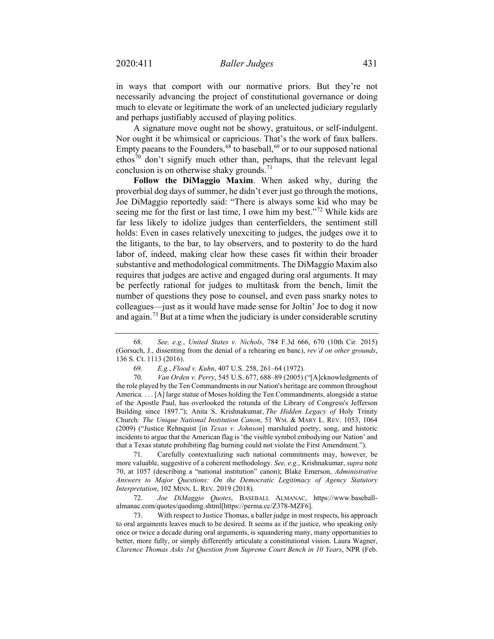in ways that comport with our normative priors. But they're not necessarily advancing the project of constitutional governance or doing much to elevate or legitimate the work of an unelected judiciary regularly and perhaps justifiably accused of playing politics.

A signature move ought not be showy, gratuitous, or self-indulgent. Nor ought it be whimsical or capricious. That's the work of faux ballers. Empty paeans to the Founders,  $68^\circ$  $68^\circ$  to baseball,  $69^\circ$  $69^\circ$  or to our supposed national ethos<sup>[70](#page-20-3)</sup> don't signify much other than, perhaps, that the relevant legal conclusion is on otherwise shaky grounds.<sup>[71](#page-20-4)</sup>

<span id="page-20-0"></span>**Follow the DiMaggio Maxim**. When asked why, during the proverbial dog days of summer, he didn't ever just go through the motions, Joe DiMaggio reportedly said: "There is always some kid who may be seeing me for the first or last time, I owe him my best."<sup>[72](#page-20-5)</sup> While kids are far less likely to idolize judges than centerfielders, the sentiment still holds: Even in cases relatively unexciting to judges, the judges owe it to the litigants, to the bar, to lay observers, and to posterity to do the hard labor of, indeed, making clear how these cases fit within their broader substantive and methodological commitments. The DiMaggio Maxim also requires that judges are active and engaged during oral arguments. It may be perfectly rational for judges to multitask from the bench, limit the number of questions they pose to counsel, and even pass snarky notes to colleagues—just as it would have made sense for Joltin' Joe to dog it now and again.<sup>[73](#page-20-6)</sup> But at a time when the judiciary is under considerable scrutiny

<span id="page-20-4"></span>71. Carefully contextualizing such national commitments may, however, be more valuable, suggestive of a coherent methodology. *See, e.g.*, Krishnakumar, *supra* note [70,](#page-20-0) at 1057 (describing a "national institution" canon); Blake Emerson, *Administrative Answers to Major Questions: On the Democratic Legitimacy of Agency Statutory Interpretation*, 102 MINN. L. REV. 2019 (2018).

<span id="page-20-5"></span>72. *Joe DiMaggio Quotes*, BASEBALL ALMANAC, https://www.baseballalmanac.com/quotes/quodimg.shtml[https://perma.cc/Z378-MZF6].

<span id="page-20-6"></span>73. With respect to Justice Thomas, a baller judge in most respects, his approach to oral arguments leaves much to be desired. It seems as if the justice, who speaking only once or twice a decade during oral arguments, is squandering many, many opportunities to better, more fully, or simply differently articulate a constitutional vision. Laura Wagner, *Clarence Thomas Asks 1st Question from Supreme Court Bench in 10 Years*, NPR (Feb.

<span id="page-20-1"></span><sup>68.</sup> *See, e.g.*, *United States v. Nichols*, 784 F.3d 666, 670 (10th Cir. 2015) (Gorsuch, J., dissenting from the denial of a rehearing en banc), *rev'd on other grounds*, 136 S. Ct. 1113 (2016).

<sup>69.</sup> *E.g.*, *Flood v. Kuhn*, 407 U.S. 258, 261–64 (1972).

<span id="page-20-3"></span><span id="page-20-2"></span><sup>70.</sup> *Van Orden v. Perry*, 545 U.S. 677, 688–89 (2005) ("[A]cknowledgments of the role played by the Ten Commandments in our Nation's heritage are common throughout America. . . . [A] large statue of Moses holding the Ten Commandments, alongside a statue of the Apostle Paul, has overlooked the rotunda of the Library of Congress's Jefferson Building since 1897."); Anita S. Krishnakumar, *The Hidden Legacy of* Holy Trinity Church*: The Unique National Institution Canon*, 51 WM. & MARY L. REV. 1053, 1064 (2009) ("Justice Rehnquist [in *Texas v. Johnson*] marshaled poetry, song, and historic incidents to argue that the American flag is 'the visible symbol embodying our Nation' and that a Texas statute prohibiting flag burning could not violate the First Amendment.").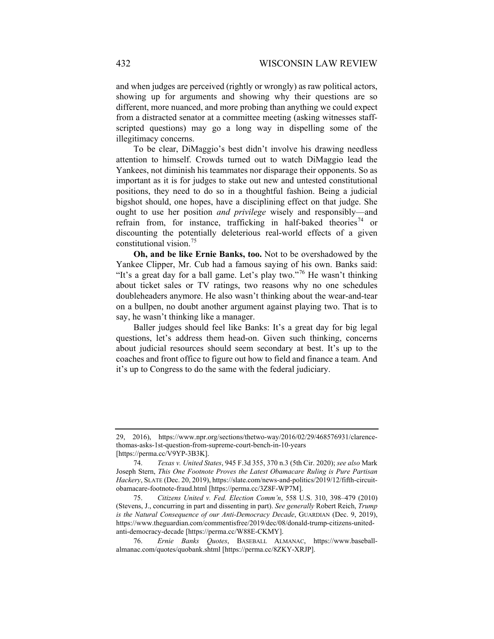and when judges are perceived (rightly or wrongly) as raw political actors, showing up for arguments and showing why their questions are so different, more nuanced, and more probing than anything we could expect from a distracted senator at a committee meeting (asking witnesses staffscripted questions) may go a long way in dispelling some of the illegitimacy concerns.

To be clear, DiMaggio's best didn't involve his drawing needless attention to himself. Crowds turned out to watch DiMaggio lead the Yankees, not diminish his teammates nor disparage their opponents. So as important as it is for judges to stake out new and untested constitutional positions, they need to do so in a thoughtful fashion. Being a judicial bigshot should, one hopes, have a disciplining effect on that judge. She ought to use her position *and privilege* wisely and responsibly—and refrain from, for instance, trafficking in half-baked theories<sup>[74](#page-21-0)</sup> or discounting the potentially deleterious real-world effects of a given constitutional vision.[75](#page-21-1)

**Oh, and be like Ernie Banks, too.** Not to be overshadowed by the Yankee Clipper, Mr. Cub had a famous saying of his own. Banks said: "It's a great day for a ball game. Let's play two."<sup>[76](#page-21-2)</sup> He wasn't thinking about ticket sales or TV ratings, two reasons why no one schedules doubleheaders anymore. He also wasn't thinking about the wear-and-tear on a bullpen, no doubt another argument against playing two. That is to say, he wasn't thinking like a manager.

Baller judges should feel like Banks: It's a great day for big legal questions, let's address them head-on. Given such thinking, concerns about judicial resources should seem secondary at best. It's up to the coaches and front office to figure out how to field and finance a team. And it's up to Congress to do the same with the federal judiciary.

<sup>29, 2016),</sup> [https://www.npr.org/sections/thetwo-way/2016/02/29/468576931/clarence](https://www.npr.org/sections/thetwo-way/2016/02/29/468576931/clarence-thomas-asks-1st-question-from-supreme-court-bench-in-10-years)[thomas-asks-1st-question-from-supreme-court-bench-in-10-years](https://www.npr.org/sections/thetwo-way/2016/02/29/468576931/clarence-thomas-asks-1st-question-from-supreme-court-bench-in-10-years) [https://perma.cc/V9YP-3B3K].

<span id="page-21-0"></span><sup>74.</sup> *Texas v. United States*, 945 F.3d 355, 370 n.3 (5th Cir. 2020); *see also* Mark Joseph Stern, *This One Footnote Proves the Latest Obamacare Ruling is Pure Partisan Hackery*, SLATE (Dec. 20, 2019)[, https://slate.com/news-and-politics/2019/12/fifth-circuit](https://slate.com/news-and-politics/2019/12/fifth-circuit-obamacare-footnote-fraud.html)[obamacare-footnote-fraud.html](https://slate.com/news-and-politics/2019/12/fifth-circuit-obamacare-footnote-fraud.html) [https://perma.cc/3Z8F-WP7M].

<span id="page-21-1"></span><sup>75.</sup> *Citizens United v. Fed. Election Comm'n*, 558 U.S. 310, 398–479 (2010) (Stevens, J., concurring in part and dissenting in part). *See generally* Robert Reich, *Trump is the Natural Consequence of our Anti-Democracy Decade*, GUARDIAN (Dec. 9, 2019), https://www.theguardian.com/commentisfree/2019/dec/08/donald-trump-citizens-unitedanti-democracy-decade [https://perma.cc/W88E-CKMY].

<span id="page-21-2"></span><sup>76.</sup> *Ernie Banks Quotes*, BASEBALL ALMANAC, https://www.baseballalmanac.com/quotes/quobank.shtml [https://perma.cc/8ZKY-XRJP].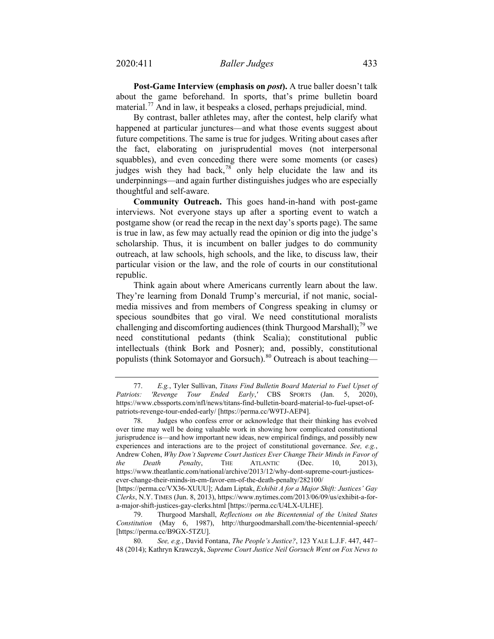**Post-Game Interview (emphasis on** *post***).** A true baller doesn't talk about the game beforehand. In sports, that's prime bulletin board material.<sup>[77](#page-22-0)</sup> And in law, it bespeaks a closed, perhaps prejudicial, mind.

By contrast, baller athletes may, after the contest, help clarify what happened at particular junctures—and what those events suggest about future competitions. The same is true for judges. Writing about cases after the fact, elaborating on jurisprudential moves (not interpersonal squabbles), and even conceding there were some moments (or cases) judges wish they had back, $78$  only help elucidate the law and its underpinnings—and again further distinguishes judges who are especially thoughtful and self-aware.

**Community Outreach.** This goes hand-in-hand with post-game interviews. Not everyone stays up after a sporting event to watch a postgame show (or read the recap in the next day's sports page). The same is true in law, as few may actually read the opinion or dig into the judge's scholarship. Thus, it is incumbent on baller judges to do community outreach, at law schools, high schools, and the like, to discuss law, their particular vision or the law, and the role of courts in our constitutional republic.

Think again about where Americans currently learn about the law. They're learning from Donald Trump's mercurial, if not manic, socialmedia missives and from members of Congress speaking in clumsy or specious soundbites that go viral. We need constitutional moralists challenging and discomforting audiences (think Thurgood Marshall);  $^{79}$  $^{79}$  $^{79}$  we need constitutional pedants (think Scalia); constitutional public intellectuals (think Bork and Posner); and, possibly, constitutional populists (think Sotomayor and Gorsuch).<sup>[80](#page-22-3)</sup> Outreach is about teaching—

<span id="page-22-0"></span><sup>77.</sup> *E.g.*, Tyler Sullivan, *Titans Find Bulletin Board Material to Fuel Upset of Patriots: 'Revenge Tour Ended Early*,*'* CBS SPORTS (Jan. 5, 2020), [https://www.cbssports.com/nfl/news/titans-find-bulletin-board-material-to-fuel-upset-of](https://www.cbssports.com/nfl/news/titans-find-bulletin-board-material-to-fuel-upset-of-patriots-revenge-tour-ended-early/)[patriots-revenge-tour-ended-early/](https://www.cbssports.com/nfl/news/titans-find-bulletin-board-material-to-fuel-upset-of-patriots-revenge-tour-ended-early/) [https://perma.cc/W9TJ-AEP4].

<span id="page-22-1"></span><sup>78.</sup> Judges who confess error or acknowledge that their thinking has evolved over time may well be doing valuable work in showing how complicated constitutional jurisprudence is—and how important new ideas, new empirical findings, and possibly new experiences and interactions are to the project of constitutional governance. *See, e.g.*, Andrew Cohen, *Why Don't Supreme Court Justices Ever Change Their Minds in Favor of the Death Penalty*, THE ATLANTIC (Dec. 10, 2013), [https://www.theatlantic.com/national/archive/2013/12/why-dont-supreme-court-justices](https://www.theatlantic.com/national/archive/2013/12/why-dont-supreme-court-justices-ever-change-their-minds-in-em-favor-em-of-the-death-penalty/282100/)[ever-change-their-minds-in-em-favor-em-of-the-death-penalty/282100/](https://www.theatlantic.com/national/archive/2013/12/why-dont-supreme-court-justices-ever-change-their-minds-in-em-favor-em-of-the-death-penalty/282100/)

<sup>[</sup>https://perma.cc/VX36-XUUU]; Adam Liptak, *Exhibit A for a Major Shift: Justices' Gay Clerks*, N.Y. TIMES (Jun. 8, 2013), [https://www.nytimes.com/2013/06/09/us/exhibit-a-for](https://www.nytimes.com/2013/06/09/us/exhibit-a-for-a-major-shift-justices-gay-clerks.html)[a-major-shift-justices-gay-clerks.html](https://www.nytimes.com/2013/06/09/us/exhibit-a-for-a-major-shift-justices-gay-clerks.html) [https://perma.cc/U4LX-ULHE].

<span id="page-22-2"></span><sup>79.</sup> Thurgood Marshall, *Reflections on the Bicentennial of the United States Constitution* (May 6, 1987), <http://thurgoodmarshall.com/the-bicentennial-speech/> [https://perma.cc/B9GX-5TZU].

<span id="page-22-3"></span><sup>80.</sup> *See, e.g.*, David Fontana, *The People's Justice?*, 123 YALE L.J.F. 447, 447– 48 (2014); Kathryn Krawczyk, *Supreme Court Justice Neil Gorsuch Went on Fox News to*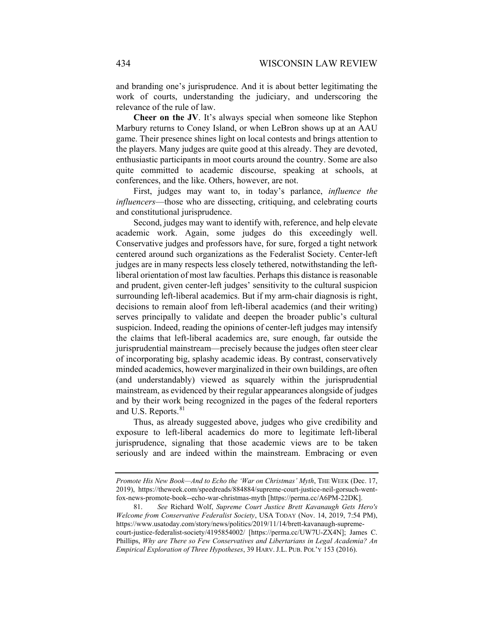and branding one's jurisprudence. And it is about better legitimating the work of courts, understanding the judiciary, and underscoring the relevance of the rule of law.

**Cheer on the JV**. It's always special when someone like Stephon Marbury returns to Coney Island, or when LeBron shows up at an AAU game. Their presence shines light on local contests and brings attention to the players. Many judges are quite good at this already. They are devoted, enthusiastic participants in moot courts around the country. Some are also quite committed to academic discourse, speaking at schools, at conferences, and the like. Others, however, are not.

First, judges may want to, in today's parlance, *influence the influencers*—those who are dissecting, critiquing, and celebrating courts and constitutional jurisprudence.

Second, judges may want to identify with, reference, and help elevate academic work. Again, some judges do this exceedingly well. Conservative judges and professors have, for sure, forged a tight network centered around such organizations as the Federalist Society. Center-left judges are in many respects less closely tethered, notwithstanding the leftliberal orientation of most law faculties. Perhaps this distance is reasonable and prudent, given center-left judges' sensitivity to the cultural suspicion surrounding left-liberal academics. But if my arm-chair diagnosis is right, decisions to remain aloof from left-liberal academics (and their writing) serves principally to validate and deepen the broader public's cultural suspicion. Indeed, reading the opinions of center-left judges may intensify the claims that left-liberal academics are, sure enough, far outside the jurisprudential mainstream—precisely because the judges often steer clear of incorporating big, splashy academic ideas. By contrast, conservatively minded academics, however marginalized in their own buildings, are often (and understandably) viewed as squarely within the jurisprudential mainstream, as evidenced by their regular appearances alongside of judges and by their work being recognized in the pages of the federal reporters and U.S. Reports.<sup>[81](#page-23-0)</sup>

Thus, as already suggested above, judges who give credibility and exposure to left-liberal academics do more to legitimate left-liberal jurisprudence, signaling that those academic views are to be taken seriously and are indeed within the mainstream. Embracing or even

*Promote His New Book—And to Echo the 'War on Christmas' Myth*, THE WEEK (Dec. 17, 2019), [https://theweek.com/speedreads/884884/supreme-court-justice-neil-gorsuch-went](https://theweek.com/speedreads/884884/supreme-court-justice-neil-gorsuch-went-fox-news-promote-book--echo-war-christmas-myth)[fox-news-promote-book--echo-war-christmas-myth](https://theweek.com/speedreads/884884/supreme-court-justice-neil-gorsuch-went-fox-news-promote-book--echo-war-christmas-myth) [https://perma.cc/A6PM-22DK].

<span id="page-23-0"></span><sup>81.</sup> *See* Richard Wolf, *Supreme Court Justice Brett Kavanaugh Gets Hero's Welcome from Conservative Federalist Society*, USA TODAY (Nov. 14, 2019, 7:54 PM), https://www.usatoday.com/story/news/politics/2019/11/14/brett-kavanaugh-supremecourt-justice-federalist-society/4195854002/ [https://perma.cc/UW7U-ZX4N]; James C. Phillips, *Why are There so Few Conservatives and Libertarians in Legal Academia? An Empirical Exploration of Three Hypotheses*, 39 HARV. J.L. PUB. POL'Y 153 (2016).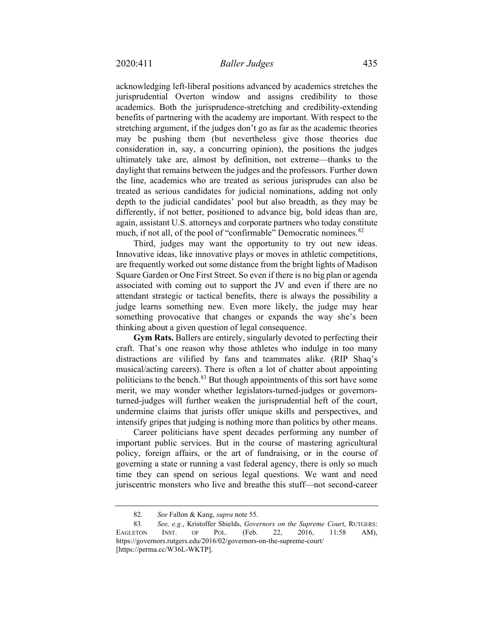acknowledging left-liberal positions advanced by academics stretches the jurisprudential Overton window and assigns credibility to those academics. Both the jurisprudence-stretching and credibility-extending benefits of partnering with the academy are important. With respect to the stretching argument, if the judges don't go as far as the academic theories may be pushing them (but nevertheless give those theories due consideration in, say, a concurring opinion), the positions the judges ultimately take are, almost by definition, not extreme—thanks to the daylight that remains between the judges and the professors. Further down the line, academics who are treated as serious jurisprudes can also be treated as serious candidates for judicial nominations, adding not only depth to the judicial candidates' pool but also breadth, as they may be differently, if not better, positioned to advance big, bold ideas than are, again, assistant U.S. attorneys and corporate partners who today constitute much, if not all, of the pool of "confirmable" Democratic nominees.<sup>[82](#page-24-0)</sup>

Third, judges may want the opportunity to try out new ideas. Innovative ideas, like innovative plays or moves in athletic competitions, are frequently worked out some distance from the bright lights of Madison Square Garden or One First Street. So even if there is no big plan or agenda associated with coming out to support the JV and even if there are no attendant strategic or tactical benefits, there is always the possibility a judge learns something new. Even more likely, the judge may hear something provocative that changes or expands the way she's been thinking about a given question of legal consequence.

**Gym Rats.** Ballers are entirely, singularly devoted to perfecting their craft. That's one reason why those athletes who indulge in too many distractions are vilified by fans and teammates alike. (RIP Shaq's musical/acting careers). There is often a lot of chatter about appointing politicians to the bench. $83$  But though appointments of this sort have some merit, we may wonder whether legislators-turned-judges or governorsturned-judges will further weaken the jurisprudential heft of the court, undermine claims that jurists offer unique skills and perspectives, and intensify gripes that judging is nothing more than politics by other means.

Career politicians have spent decades performing any number of important public services. But in the course of mastering agricultural policy, foreign affairs, or the art of fundraising, or in the course of governing a state or running a vast federal agency, there is only so much time they can spend on serious legal questions. We want and need juriscentric monsters who live and breathe this stuff—not second-career

<sup>82.</sup> *See* Fallon & Kang, *supra* note [55.](#page-16-5)

<span id="page-24-1"></span><span id="page-24-0"></span><sup>83.</sup> *See, e.g.*, Kristoffer Shields, *Governors on the Supreme Court*, RUTGERS: EAGLETON INST. OF POL. (Feb. 22, 2016, 11:58 AM), https://governors.rutgers.edu/2016/02/governors-on-the-supreme-court/ [https://perma.cc/W36L-WKTP].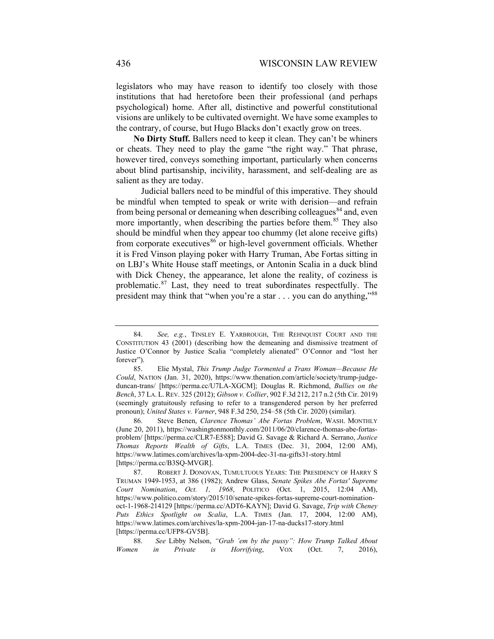legislators who may have reason to identify too closely with those institutions that had heretofore been their professional (and perhaps psychological) home. After all, distinctive and powerful constitutional visions are unlikely to be cultivated overnight. We have some examples to the contrary, of course, but Hugo Blacks don't exactly grow on trees.

**No Dirty Stuff.** Ballers need to keep it clean. They can't be whiners or cheats. They need to play the game "the right way." That phrase, however tired, conveys something important, particularly when concerns about blind partisanship, incivility, harassment, and self-dealing are as salient as they are today.

Judicial ballers need to be mindful of this imperative. They should be mindful when tempted to speak or write with derision—and refrain from being personal or demeaning when describing colleagues<sup>[84](#page-25-0)</sup> and, even more importantly, when describing the parties before them.<sup>[85](#page-25-1)</sup> They also should be mindful when they appear too chummy (let alone receive gifts) from corporate executives<sup>[86](#page-25-2)</sup> or high-level government officials. Whether it is Fred Vinson playing poker with Harry Truman, Abe Fortas sitting in on LBJ's White House staff meetings, or Antonin Scalia in a duck blind with Dick Cheney, the appearance, let alone the reality, of coziness is problematic.[87](#page-25-3) Last, they need to treat subordinates respectfully. The president may think that "when you're a star . . . you can do anything,"[88](#page-25-4)

<span id="page-25-0"></span><sup>84.</sup> *See, e.g.*, TINSLEY E. YARBROUGH, THE REHNQUIST COURT AND THE CONSTITUTION 43 (2001) (describing how the demeaning and dismissive treatment of Justice O'Connor by Justice Scalia "completely alienated" O'Connor and "lost her forever").

<span id="page-25-1"></span><sup>85.</sup> Elie Mystal, *This Trump Judge Tormented a Trans Woman—Because He Could*, NATION (Jan. 31, 2020), [https://www.thenation.com/article/society/trump-judge](https://www.thenation.com/article/society/trump-judge-duncan-trans/)[duncan-trans/](https://www.thenation.com/article/society/trump-judge-duncan-trans/) [https://perma.cc/U7LA-XGCM]; Douglas R. Richmond, *Bullies on the Bench*, 37 LA. L. REV. 325 (2012); *Gibson v. Collier*, 902 F.3d 212, 217 n.2 (5th Cir. 2019) (seemingly gratuitously refusing to refer to a transgendered person by her preferred pronoun); *United States v. Varner*, 948 F.3d 250, 254–58 (5th Cir. 2020) (similar).

<span id="page-25-2"></span><sup>86.</sup> Steve Benen, *Clarence Thomas' Abe Fortas Problem*, WASH. MONTHLY (June 20, 2011), [https://washingtonmonthly.com/2011/06/20/clarence-thomas-abe-fortas](https://washingtonmonthly.com/2011/06/20/clarence-thomas-abe-fortas-problem/)[problem/](https://washingtonmonthly.com/2011/06/20/clarence-thomas-abe-fortas-problem/) [https://perma.cc/CLR7-E588]; David G. Savage & Richard A. Serrano, *Justice Thomas Reports Wealth of Gifts*, L.A. TIMES (Dec. 31, 2004, 12:00 AM), https://www.latimes.com/archives/la-xpm-2004-dec-31-na-gifts31-story.html [https://perma.cc/B3SQ-MVGR].

<span id="page-25-3"></span><sup>87.</sup> ROBERT J. DONOVAN, TUMULTUOUS YEARS: THE PRESIDENCY OF HARRY S TRUMAN 1949-1953, at 386 (1982); Andrew Glass, *Senate Spikes Abe Fortas' Supreme Court Nomination*, *Oct. 1, 1968*, POLITICO (Oct. 1, 2015, 12:04 AM), [https://www.politico.com/story/2015/10/senate-spikes-fortas-supreme-court-nomination](https://www.politico.com/story/2015/10/senate-spikes-fortas-supreme-court-nomination-oct-1-1968-214129)[oct-1-1968-214129](https://www.politico.com/story/2015/10/senate-spikes-fortas-supreme-court-nomination-oct-1-1968-214129) [https://perma.cc/ADT6-KAYN]; David G. Savage, *Trip with Cheney Puts Ethics Spotlight on Scalia*, L.A. TIMES (Jan. 17, 2004, 12:00 AM), https://www.latimes.com/archives/la-xpm-2004-jan-17-na-ducks17-story.html [https://perma.cc/UFP8-GV5B].

<span id="page-25-4"></span><sup>88.</sup> *See* Libby Nelson, *"Grab 'em by the pussy": How Trump Talked About Women in Private is Horrifying*, VOX (Oct. 7, 2016),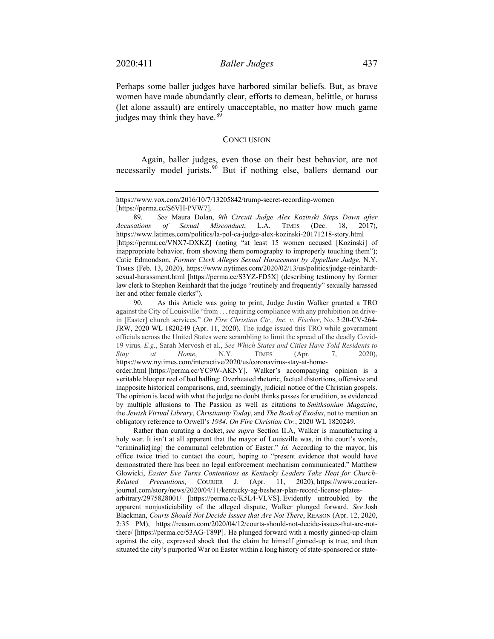Perhaps some baller judges have harbored similar beliefs. But, as brave women have made abundantly clear, efforts to demean, belittle, or harass (let alone assault) are entirely unacceptable, no matter how much game judges may think they have.<sup>[89](#page-26-1)</sup>

#### <span id="page-26-0"></span>**CONCLUSION**

Again, baller judges, even those on their best behavior, are not necessarily model jurists. [90](#page-26-2) But if nothing else, ballers demand our

<span id="page-26-2"></span>90. As this Article was going to print, Judge Justin Walker granted a TRO against the City of Louisville "from . . . requiring compliance with any prohibition on drivein [Easter] church services." *On Fire Christian Ctr., Inc. v. Fischer*, No. 3:20-CV-264- JRW, 2020 WL 1820249 (Apr. 11, 2020). The judge issued this TRO while government officials across the United States were scrambling to limit the spread of the deadly Covid-19 virus. *E.g.*, Sarah Mervosh et al., *See Which States and Cities Have Told Residents to Stay at Home*, N.Y. TIMES (Apr. 7, 2020), https://www.nytimes.com/interactive/2020/us/coronavirus-stay-at-homeorder.html [https://perma.cc/YC9W-AKNY]. Walker's accompanying opinion is a veritable blooper reel of bad balling: Overheated rhetoric, factual distortions, offensive and inapposite historical comparisons, and, seemingly, judicial notice of the Christian gospels. The opinion is laced with what the judge no doubt thinks passes for erudition, as evidenced by multiple allusions to The Passion as well as citations to *Smithsonian Magazine*, the *Jewish Virtual Library*, *Christianity Today*, and *The Book of Exodus*, not to mention an obligatory reference to Orwell's *1984*. *On Fire Christian Ctr.*, 2020 WL 1820249.

Rather than curating a docket, *see supra* Section II.A, Walker is manufacturing a holy war. It isn't at all apparent that the mayor of Louisville was, in the court's words, "criminaliz[ing] the communal celebration of Easter." *Id.* According to the mayor, his office twice tried to contact the court, hoping to "present evidence that would have demonstrated there has been no legal enforcement mechanism communicated." Matthew Glowicki, *Easter Eve Turns Contentious as Kentucky Leaders Take Heat for Church-Related Precautions*, COURIER J. (Apr. 11, 2020), [https://www.courier](https://www.courier-journal.com/story/news/2020/04/11/kentucky-ag-beshear-plan-record-license-plates-arbitrary/2975828001/)[journal.com/story/news/2020/04/11/kentucky-ag-beshear-plan-record-license-plates](https://www.courier-journal.com/story/news/2020/04/11/kentucky-ag-beshear-plan-record-license-plates-arbitrary/2975828001/)[arbitrary/2975828001/](https://www.courier-journal.com/story/news/2020/04/11/kentucky-ag-beshear-plan-record-license-plates-arbitrary/2975828001/) [\[https://perma.cc/K5L4-VLVS\]](https://perma.cc/K5L4-VLVS). Evidently untroubled by the apparent nonjusticiability of the alleged dispute, Walker plunged forward. *See* Josh Blackman, *Courts Should Not Decide Issues that Are Not There*, REASON (Apr. 12, 2020, 2:35 PM), [https://reason.com/2020/04/12/courts-should-not-decide-issues-that-are-not](https://reason.com/2020/04/12/courts-should-not-decide-issues-that-are-not-there/)[there/](https://reason.com/2020/04/12/courts-should-not-decide-issues-that-are-not-there/) [\[https://perma.cc/53AG-T89P\]](https://perma.cc/53AG-T89P). He plunged forward with a mostly ginned-up claim against the city, expressed shock that the claim he himself ginned-up is true, and then situated the city's purported War on Easter within a long history of state-sponsored or state-

https://www.vox.com/2016/10/7/13205842/trump-secret-recording-women [https://perma.cc/S6VH-PVW7].

<span id="page-26-1"></span><sup>89.</sup> *See* Maura Dolan, *9th Circuit Judge Alex Kozinski Steps Down after Accusations of Sexual Misconduct*, L.A. TIMES (Dec. 18, 2017), https://www.latimes.com/politics/la-pol-ca-judge-alex-kozinski-20171218-story.html [https://perma.cc/VNX7-DXKZ] (noting "at least 15 women accused [Kozinski] of inappropriate behavior, from showing them pornography to improperly touching them"); Catie Edmondson, *Former Clerk Alleges Sexual Harassment by Appellate Judge*, N.Y. TIMES (Feb. 13, 2020), https://www.nytimes.com/2020/02/13/us/politics/judge-reinhardtsexual-harassment.html [https://perma.cc/S3YZ-FD5X] (describing testimony by former law clerk to Stephen Reinhardt that the judge "routinely and frequently" sexually harassed her and other female clerks").